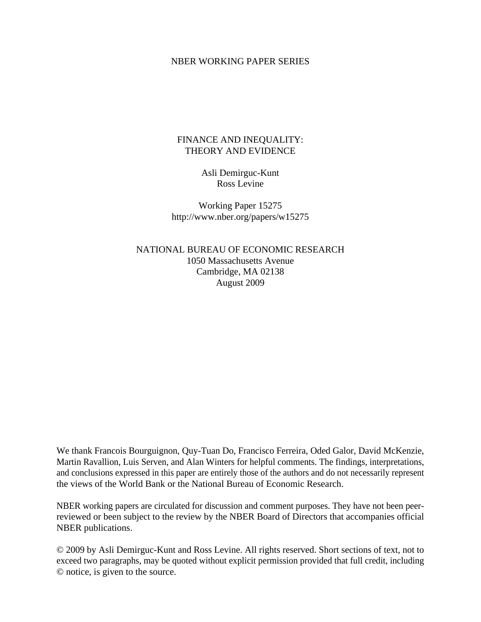## NBER WORKING PAPER SERIES

# FINANCE AND INEQUALITY: THEORY AND EVIDENCE

Asli Demirguc-Kunt Ross Levine

Working Paper 15275 http://www.nber.org/papers/w15275

NATIONAL BUREAU OF ECONOMIC RESEARCH 1050 Massachusetts Avenue Cambridge, MA 02138 August 2009

We thank Francois Bourguignon, Quy-Tuan Do, Francisco Ferreira, Oded Galor, David McKenzie, Martin Ravallion, Luis Serven, and Alan Winters for helpful comments. The findings, interpretations, and conclusions expressed in this paper are entirely those of the authors and do not necessarily represent the views of the World Bank or the National Bureau of Economic Research.

NBER working papers are circulated for discussion and comment purposes. They have not been peerreviewed or been subject to the review by the NBER Board of Directors that accompanies official NBER publications.

© 2009 by Asli Demirguc-Kunt and Ross Levine. All rights reserved. Short sections of text, not to exceed two paragraphs, may be quoted without explicit permission provided that full credit, including © notice, is given to the source.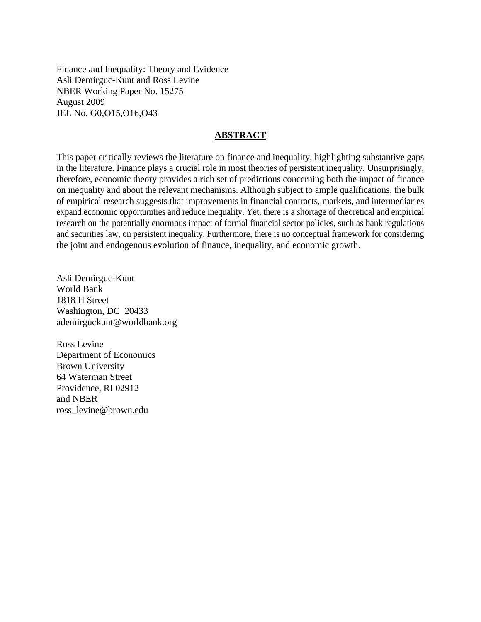Finance and Inequality: Theory and Evidence Asli Demirguc-Kunt and Ross Levine NBER Working Paper No. 15275 August 2009 JEL No. G0,O15,O16,O43

# **ABSTRACT**

This paper critically reviews the literature on finance and inequality, highlighting substantive gaps in the literature. Finance plays a crucial role in most theories of persistent inequality. Unsurprisingly, therefore, economic theory provides a rich set of predictions concerning both the impact of finance on inequality and about the relevant mechanisms. Although subject to ample qualifications, the bulk of empirical research suggests that improvements in financial contracts, markets, and intermediaries expand economic opportunities and reduce inequality. Yet, there is a shortage of theoretical and empirical research on the potentially enormous impact of formal financial sector policies, such as bank regulations and securities law, on persistent inequality. Furthermore, there is no conceptual framework for considering the joint and endogenous evolution of finance, inequality, and economic growth.

Asli Demirguc-Kunt World Bank 1818 H Street Washington, DC 20433 ademirguckunt@worldbank.org

Ross Levine Department of Economics Brown University 64 Waterman Street Providence, RI 02912 and NBER ross\_levine@brown.edu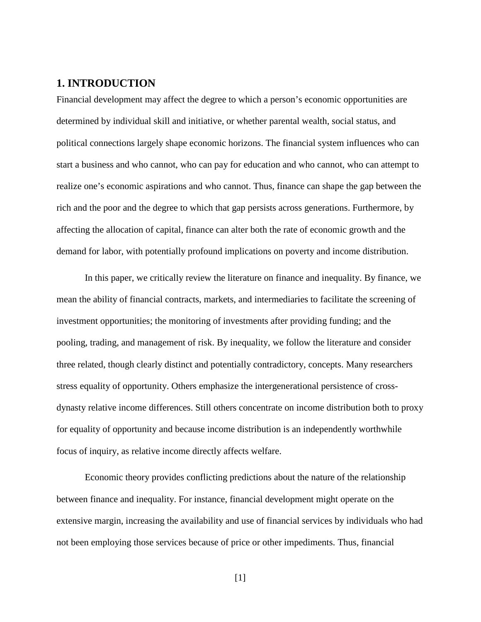# **1. INTRODUCTION**

Financial development may affect the degree to which a person's economic opportunities are determined by individual skill and initiative, or whether parental wealth, social status, and political connections largely shape economic horizons. The financial system influences who can start a business and who cannot, who can pay for education and who cannot, who can attempt to realize one's economic aspirations and who cannot. Thus, finance can shape the gap between the rich and the poor and the degree to which that gap persists across generations. Furthermore, by affecting the allocation of capital, finance can alter both the rate of economic growth and the demand for labor, with potentially profound implications on poverty and income distribution.

In this paper, we critically review the literature on finance and inequality. By finance, we mean the ability of financial contracts, markets, and intermediaries to facilitate the screening of investment opportunities; the monitoring of investments after providing funding; and the pooling, trading, and management of risk. By inequality, we follow the literature and consider three related, though clearly distinct and potentially contradictory, concepts. Many researchers stress equality of opportunity. Others emphasize the intergenerational persistence of crossdynasty relative income differences. Still others concentrate on income distribution both to proxy for equality of opportunity and because income distribution is an independently worthwhile focus of inquiry, as relative income directly affects welfare.

Economic theory provides conflicting predictions about the nature of the relationship between finance and inequality. For instance, financial development might operate on the extensive margin, increasing the availability and use of financial services by individuals who had not been employing those services because of price or other impediments. Thus, financial

[1]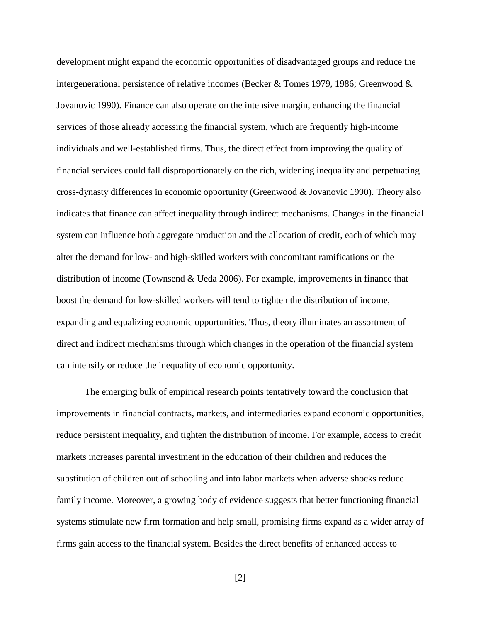development might expand the economic opportunities of disadvantaged groups and reduce the intergenerational persistence of relative incomes (Becker & Tomes 1979, 1986; Greenwood & Jovanovic 1990). Finance can also operate on the intensive margin, enhancing the financial services of those already accessing the financial system, which are frequently high-income individuals and well-established firms. Thus, the direct effect from improving the quality of financial services could fall disproportionately on the rich, widening inequality and perpetuating cross-dynasty differences in economic opportunity (Greenwood & Jovanovic 1990). Theory also indicates that finance can affect inequality through indirect mechanisms. Changes in the financial system can influence both aggregate production and the allocation of credit, each of which may alter the demand for low- and high-skilled workers with concomitant ramifications on the distribution of income (Townsend & Ueda 2006). For example, improvements in finance that boost the demand for low-skilled workers will tend to tighten the distribution of income, expanding and equalizing economic opportunities. Thus, theory illuminates an assortment of direct and indirect mechanisms through which changes in the operation of the financial system can intensify or reduce the inequality of economic opportunity.

The emerging bulk of empirical research points tentatively toward the conclusion that improvements in financial contracts, markets, and intermediaries expand economic opportunities, reduce persistent inequality, and tighten the distribution of income. For example, access to credit markets increases parental investment in the education of their children and reduces the substitution of children out of schooling and into labor markets when adverse shocks reduce family income. Moreover, a growing body of evidence suggests that better functioning financial systems stimulate new firm formation and help small, promising firms expand as a wider array of firms gain access to the financial system. Besides the direct benefits of enhanced access to

[2]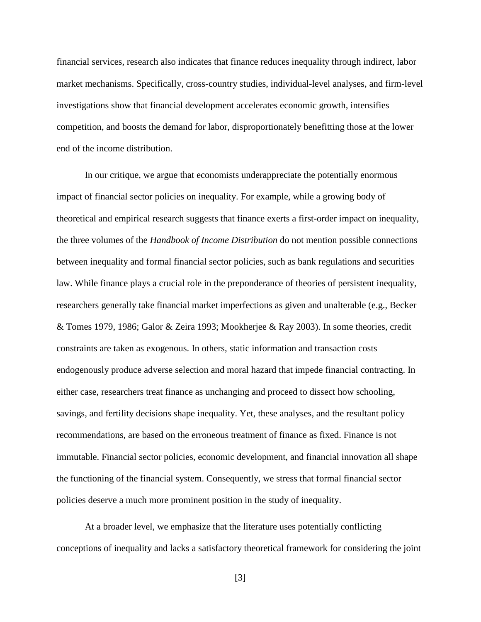financial services, research also indicates that finance reduces inequality through indirect, labor market mechanisms. Specifically, cross-country studies, individual-level analyses, and firm-level investigations show that financial development accelerates economic growth, intensifies competition, and boosts the demand for labor, disproportionately benefitting those at the lower end of the income distribution.

In our critique, we argue that economists underappreciate the potentially enormous impact of financial sector policies on inequality. For example, while a growing body of theoretical and empirical research suggests that finance exerts a first-order impact on inequality, the three volumes of the *Handbook of Income Distribution* do not mention possible connections between inequality and formal financial sector policies, such as bank regulations and securities law. While finance plays a crucial role in the preponderance of theories of persistent inequality, researchers generally take financial market imperfections as given and unalterable (e.g., Becker & Tomes 1979, 1986; Galor & Zeira 1993; Mookherjee & Ray 2003). In some theories, credit constraints are taken as exogenous. In others, static information and transaction costs endogenously produce adverse selection and moral hazard that impede financial contracting. In either case, researchers treat finance as unchanging and proceed to dissect how schooling, savings, and fertility decisions shape inequality. Yet, these analyses, and the resultant policy recommendations, are based on the erroneous treatment of finance as fixed. Finance is not immutable. Financial sector policies, economic development, and financial innovation all shape the functioning of the financial system. Consequently, we stress that formal financial sector policies deserve a much more prominent position in the study of inequality.

At a broader level, we emphasize that the literature uses potentially conflicting conceptions of inequality and lacks a satisfactory theoretical framework for considering the joint

[3]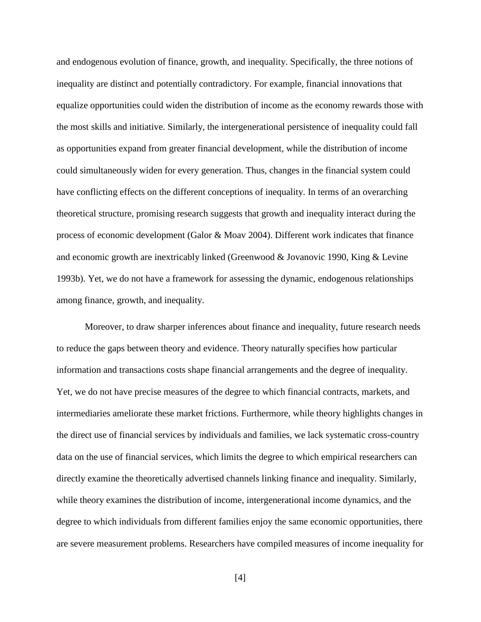and endogenous evolution of finance, growth, and inequality. Specifically, the three notions of inequality are distinct and potentially contradictory. For example, financial innovations that equalize opportunities could widen the distribution of income as the economy rewards those with the most skills and initiative. Similarly, the intergenerational persistence of inequality could fall as opportunities expand from greater financial development, while the distribution of income could simultaneously widen for every generation. Thus, changes in the financial system could have conflicting effects on the different conceptions of inequality. In terms of an overarching theoretical structure, promising research suggests that growth and inequality interact during the process of economic development (Galor & Moav 2004). Different work indicates that finance and economic growth are inextricably linked (Greenwood & Jovanovic 1990, King & Levine 1993b). Yet, we do not have a framework for assessing the dynamic, endogenous relationships among finance, growth, and inequality.

Moreover, to draw sharper inferences about finance and inequality, future research needs to reduce the gaps between theory and evidence. Theory naturally specifies how particular information and transactions costs shape financial arrangements and the degree of inequality. Yet, we do not have precise measures of the degree to which financial contracts, markets, and intermediaries ameliorate these market frictions. Furthermore, while theory highlights changes in the direct use of financial services by individuals and families, we lack systematic cross-country data on the use of financial services, which limits the degree to which empirical researchers can directly examine the theoretically advertised channels linking finance and inequality. Similarly, while theory examines the distribution of income, intergenerational income dynamics, and the degree to which individuals from different families enjoy the same economic opportunities, there are severe measurement problems. Researchers have compiled measures of income inequality for

[4]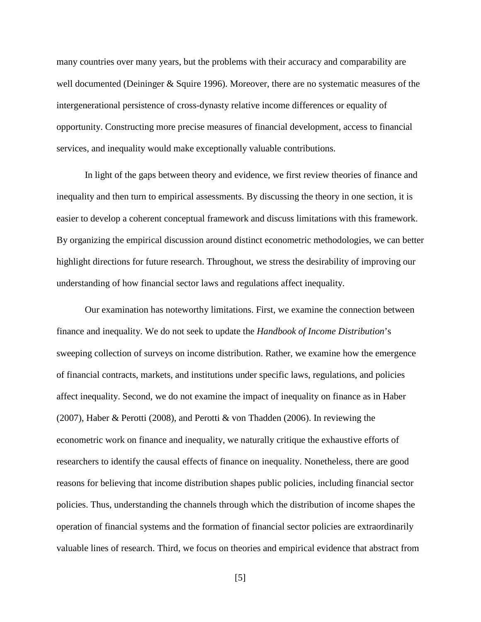many countries over many years, but the problems with their accuracy and comparability are well documented (Deininger & Squire 1996). Moreover, there are no systematic measures of the intergenerational persistence of cross-dynasty relative income differences or equality of opportunity. Constructing more precise measures of financial development, access to financial services, and inequality would make exceptionally valuable contributions.

In light of the gaps between theory and evidence, we first review theories of finance and inequality and then turn to empirical assessments. By discussing the theory in one section, it is easier to develop a coherent conceptual framework and discuss limitations with this framework. By organizing the empirical discussion around distinct econometric methodologies, we can better highlight directions for future research. Throughout, we stress the desirability of improving our understanding of how financial sector laws and regulations affect inequality.

Our examination has noteworthy limitations. First, we examine the connection between finance and inequality. We do not seek to update the *Handbook of Income Distribution*'s sweeping collection of surveys on income distribution. Rather, we examine how the emergence of financial contracts, markets, and institutions under specific laws, regulations, and policies affect inequality. Second, we do not examine the impact of inequality on finance as in Haber (2007), Haber & Perotti (2008), and Perotti & von Thadden (2006). In reviewing the econometric work on finance and inequality, we naturally critique the exhaustive efforts of researchers to identify the causal effects of finance on inequality. Nonetheless, there are good reasons for believing that income distribution shapes public policies, including financial sector policies. Thus, understanding the channels through which the distribution of income shapes the operation of financial systems and the formation of financial sector policies are extraordinarily valuable lines of research. Third, we focus on theories and empirical evidence that abstract from

[5]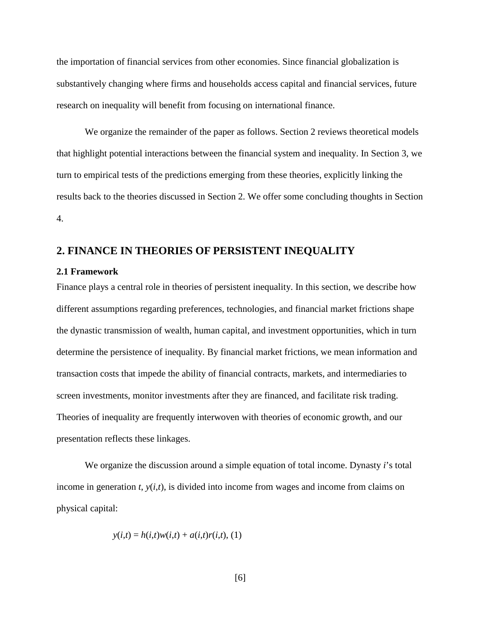the importation of financial services from other economies. Since financial globalization is substantively changing where firms and households access capital and financial services, future research on inequality will benefit from focusing on international finance.

We organize the remainder of the paper as follows. Section 2 reviews theoretical models that highlight potential interactions between the financial system and inequality. In Section 3, we turn to empirical tests of the predictions emerging from these theories, explicitly linking the results back to the theories discussed in Section 2. We offer some concluding thoughts in Section 4.

# **2. FINANCE IN THEORIES OF PERSISTENT INEQUALITY**

# **2.1 Framework**

Finance plays a central role in theories of persistent inequality. In this section, we describe how different assumptions regarding preferences, technologies, and financial market frictions shape the dynastic transmission of wealth, human capital, and investment opportunities, which in turn determine the persistence of inequality. By financial market frictions, we mean information and transaction costs that impede the ability of financial contracts, markets, and intermediaries to screen investments, monitor investments after they are financed, and facilitate risk trading. Theories of inequality are frequently interwoven with theories of economic growth, and our presentation reflects these linkages.

We organize the discussion around a simple equation of total income. Dynasty *i*'s total income in generation  $t$ ,  $y(i,t)$ , is divided into income from wages and income from claims on physical capital:

$$
y(i,t) = h(i,t)w(i,t) + a(i,t)r(i,t), (1)
$$

[6]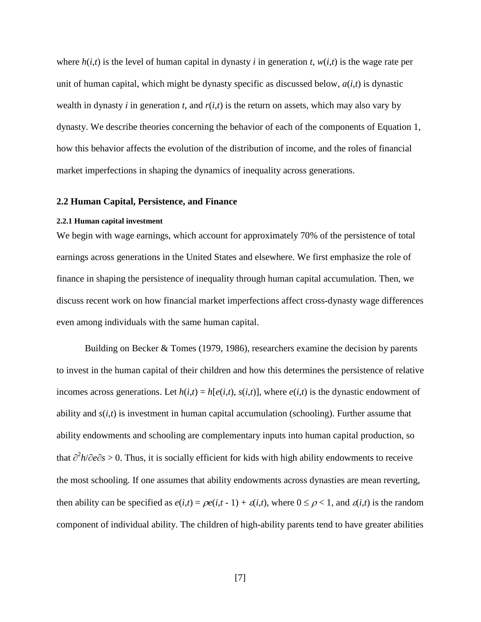where  $h(i,t)$  is the level of human capital in dynasty *i* in generation *t*,  $w(i,t)$  is the wage rate per unit of human capital, which might be dynasty specific as discussed below,  $a(i,t)$  is dynastic wealth in dynasty *i* in generation *t*, and  $r(i, t)$  is the return on assets, which may also vary by dynasty. We describe theories concerning the behavior of each of the components of Equation 1, how this behavior affects the evolution of the distribution of income, and the roles of financial market imperfections in shaping the dynamics of inequality across generations.

### **2.2 Human Capital, Persistence, and Finance**

#### **2.2.1 Human capital investment**

We begin with wage earnings, which account for approximately 70% of the persistence of total earnings across generations in the United States and elsewhere. We first emphasize the role of finance in shaping the persistence of inequality through human capital accumulation. Then, we discuss recent work on how financial market imperfections affect cross-dynasty wage differences even among individuals with the same human capital.

Building on Becker & Tomes (1979, 1986), researchers examine the decision by parents to invest in the human capital of their children and how this determines the persistence of relative incomes across generations. Let  $h(i,t) = h[e(i,t), s(i,t)]$ , where  $e(i,t)$  is the dynastic endowment of ability and *s*(*i*,*t*) is investment in human capital accumulation (schooling). Further assume that ability endowments and schooling are complementary inputs into human capital production, so that ∂<sup>2</sup> *h*/∂*e*∂*s* > 0. Thus, it is socially efficient for kids with high ability endowments to receive the most schooling. If one assumes that ability endowments across dynasties are mean reverting, then ability can be specified as  $e(i,t) = \rho e(i,t-1) + \varepsilon(i,t)$ , where  $0 \le \rho < 1$ , and  $\varepsilon(i,t)$  is the random component of individual ability. The children of high-ability parents tend to have greater abilities

[7]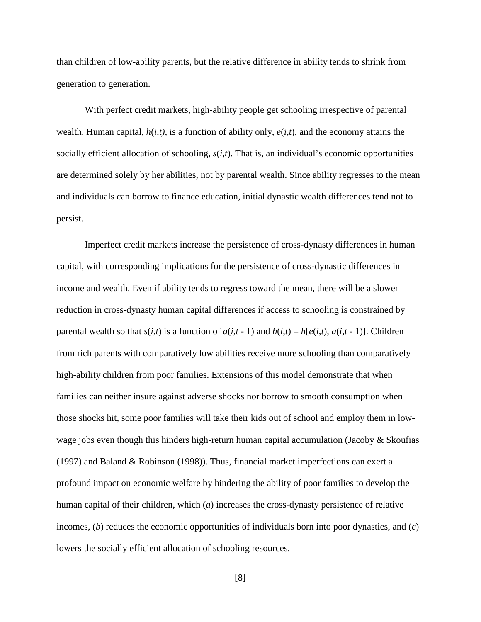than children of low-ability parents, but the relative difference in ability tends to shrink from generation to generation.

With perfect credit markets, high-ability people get schooling irrespective of parental wealth. Human capital, *h*(*i*,*t)*, is a function of ability only, *e*(*i*,*t*), and the economy attains the socially efficient allocation of schooling, *s*(*i*,*t*). That is, an individual's economic opportunities are determined solely by her abilities, not by parental wealth. Since ability regresses to the mean and individuals can borrow to finance education, initial dynastic wealth differences tend not to persist.

Imperfect credit markets increase the persistence of cross-dynasty differences in human capital, with corresponding implications for the persistence of cross-dynastic differences in income and wealth. Even if ability tends to regress toward the mean, there will be a slower reduction in cross-dynasty human capital differences if access to schooling is constrained by parental wealth so that  $s(i,t)$  is a function of  $a(i,t-1)$  and  $h(i,t) = h[e(i,t), a(i,t-1)]$ . Children from rich parents with comparatively low abilities receive more schooling than comparatively high-ability children from poor families. Extensions of this model demonstrate that when families can neither insure against adverse shocks nor borrow to smooth consumption when those shocks hit, some poor families will take their kids out of school and employ them in lowwage jobs even though this hinders high-return human capital accumulation (Jacoby & Skoufias (1997) and Baland & Robinson (1998)). Thus, financial market imperfections can exert a profound impact on economic welfare by hindering the ability of poor families to develop the human capital of their children, which (*a*) increases the cross-dynasty persistence of relative incomes, (*b*) reduces the economic opportunities of individuals born into poor dynasties, and (*c*) lowers the socially efficient allocation of schooling resources.

[8]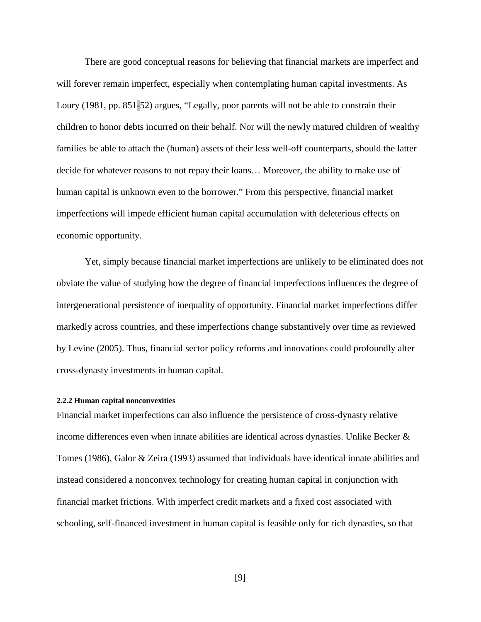There are good conceptual reasons for believing that financial markets are imperfect and will forever remain imperfect, especially when contemplating human capital investments. As Loury (1981, pp. 851-52) argues, "Legally, poor parents will not be able to constrain their children to honor debts incurred on their behalf. Nor will the newly matured children of wealthy families be able to attach the (human) assets of their less well-off counterparts, should the latter decide for whatever reasons to not repay their loans… Moreover, the ability to make use of human capital is unknown even to the borrower." From this perspective, financial market imperfections will impede efficient human capital accumulation with deleterious effects on economic opportunity.

Yet, simply because financial market imperfections are unlikely to be eliminated does not obviate the value of studying how the degree of financial imperfections influences the degree of intergenerational persistence of inequality of opportunity. Financial market imperfections differ markedly across countries, and these imperfections change substantively over time as reviewed by Levine (2005). Thus, financial sector policy reforms and innovations could profoundly alter cross-dynasty investments in human capital.

### **2.2.2 Human capital nonconvexities**

Financial market imperfections can also influence the persistence of cross-dynasty relative income differences even when innate abilities are identical across dynasties. Unlike Becker & Tomes (1986), Galor & Zeira (1993) assumed that individuals have identical innate abilities and instead considered a nonconvex technology for creating human capital in conjunction with financial market frictions. With imperfect credit markets and a fixed cost associated with schooling, self-financed investment in human capital is feasible only for rich dynasties, so that

[9]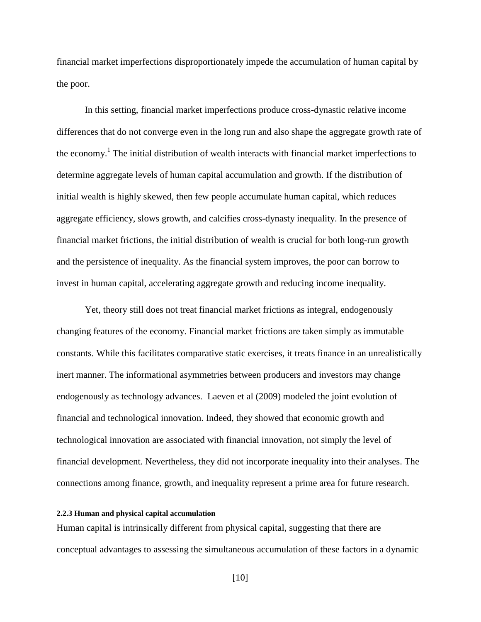financial market imperfections disproportionately impede the accumulation of human capital by the poor.

In this setting, financial market imperfections produce cross-dynastic relative income differences that do not converge even in the long run and also shape the aggregate growth rate of the economy.<sup>1</sup> The initial distribution of wealth interacts with financial market imperfections to determine aggregate levels of human capital accumulation and growth. If the distribution of initial wealth is highly skewed, then few people accumulate human capital, which reduces aggregate efficiency, slows growth, and calcifies cross-dynasty inequality. In the presence of financial market frictions, the initial distribution of wealth is crucial for both long-run growth and the persistence of inequality. As the financial system improves, the poor can borrow to invest in human capital, accelerating aggregate growth and reducing income inequality.

Yet, theory still does not treat financial market frictions as integral, endogenously changing features of the economy. Financial market frictions are taken simply as immutable constants. While this facilitates comparative static exercises, it treats finance in an unrealistically inert manner. The informational asymmetries between producers and investors may change endogenously as technology advances. Laeven et al (2009) modeled the joint evolution of financial and technological innovation. Indeed, they showed that economic growth and technological innovation are associated with financial innovation, not simply the level of financial development. Nevertheless, they did not incorporate inequality into their analyses. The connections among finance, growth, and inequality represent a prime area for future research.

### **2.2.3 Human and physical capital accumulation**

Human capital is intrinsically different from physical capital, suggesting that there are conceptual advantages to assessing the simultaneous accumulation of these factors in a dynamic

[10]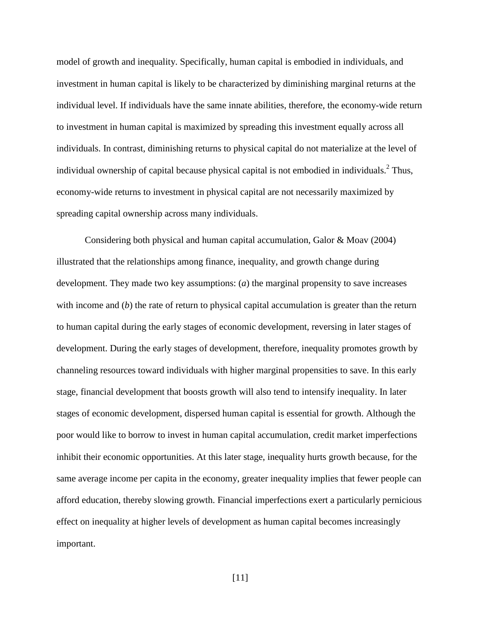model of growth and inequality. Specifically, human capital is embodied in individuals, and investment in human capital is likely to be characterized by diminishing marginal returns at the individual level. If individuals have the same innate abilities, therefore, the economy-wide return to investment in human capital is maximized by spreading this investment equally across all individuals. In contrast, diminishing returns to physical capital do not materialize at the level of individual ownership of capital because physical capital is not embodied in individuals.<sup>2</sup> Thus, economy-wide returns to investment in physical capital are not necessarily maximized by spreading capital ownership across many individuals.

Considering both physical and human capital accumulation, Galor & Moav (2004) illustrated that the relationships among finance, inequality, and growth change during development. They made two key assumptions: (*a*) the marginal propensity to save increases with income and (*b*) the rate of return to physical capital accumulation is greater than the return to human capital during the early stages of economic development, reversing in later stages of development. During the early stages of development, therefore, inequality promotes growth by channeling resources toward individuals with higher marginal propensities to save. In this early stage, financial development that boosts growth will also tend to intensify inequality. In later stages of economic development, dispersed human capital is essential for growth. Although the poor would like to borrow to invest in human capital accumulation, credit market imperfections inhibit their economic opportunities. At this later stage, inequality hurts growth because, for the same average income per capita in the economy, greater inequality implies that fewer people can afford education, thereby slowing growth. Financial imperfections exert a particularly pernicious effect on inequality at higher levels of development as human capital becomes increasingly important.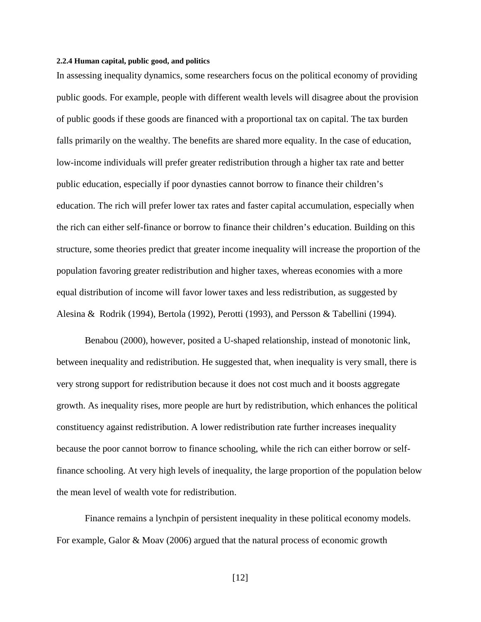### **2.2.4 Human capital, public good, and politics**

In assessing inequality dynamics, some researchers focus on the political economy of providing public goods. For example, people with different wealth levels will disagree about the provision of public goods if these goods are financed with a proportional tax on capital. The tax burden falls primarily on the wealthy. The benefits are shared more equality. In the case of education, low-income individuals will prefer greater redistribution through a higher tax rate and better public education, especially if poor dynasties cannot borrow to finance their children's education. The rich will prefer lower tax rates and faster capital accumulation, especially when the rich can either self-finance or borrow to finance their children's education. Building on this structure, some theories predict that greater income inequality will increase the proportion of the population favoring greater redistribution and higher taxes, whereas economies with a more equal distribution of income will favor lower taxes and less redistribution, as suggested by Alesina & Rodrik (1994), Bertola (1992), Perotti (1993), and Persson & Tabellini (1994).

Benabou (2000), however, posited a U-shaped relationship, instead of monotonic link, between inequality and redistribution. He suggested that, when inequality is very small, there is very strong support for redistribution because it does not cost much and it boosts aggregate growth. As inequality rises, more people are hurt by redistribution, which enhances the political constituency against redistribution. A lower redistribution rate further increases inequality because the poor cannot borrow to finance schooling, while the rich can either borrow or selffinance schooling. At very high levels of inequality, the large proportion of the population below the mean level of wealth vote for redistribution.

Finance remains a lynchpin of persistent inequality in these political economy models. For example, Galor & Moav (2006) argued that the natural process of economic growth

[12]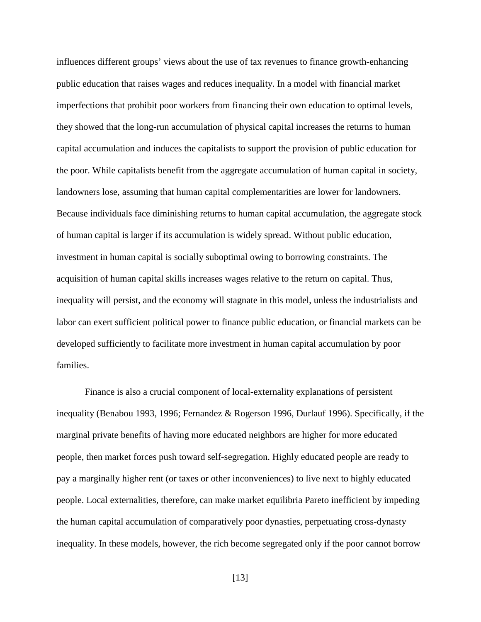influences different groups' views about the use of tax revenues to finance growth-enhancing public education that raises wages and reduces inequality. In a model with financial market imperfections that prohibit poor workers from financing their own education to optimal levels, they showed that the long-run accumulation of physical capital increases the returns to human capital accumulation and induces the capitalists to support the provision of public education for the poor. While capitalists benefit from the aggregate accumulation of human capital in society, landowners lose, assuming that human capital complementarities are lower for landowners. Because individuals face diminishing returns to human capital accumulation, the aggregate stock of human capital is larger if its accumulation is widely spread. Without public education, investment in human capital is socially suboptimal owing to borrowing constraints. The acquisition of human capital skills increases wages relative to the return on capital. Thus, inequality will persist, and the economy will stagnate in this model, unless the industrialists and labor can exert sufficient political power to finance public education, or financial markets can be developed sufficiently to facilitate more investment in human capital accumulation by poor families.

Finance is also a crucial component of local-externality explanations of persistent inequality (Benabou 1993, 1996; Fernandez & Rogerson 1996, Durlauf 1996). Specifically, if the marginal private benefits of having more educated neighbors are higher for more educated people, then market forces push toward self-segregation. Highly educated people are ready to pay a marginally higher rent (or taxes or other inconveniences) to live next to highly educated people. Local externalities, therefore, can make market equilibria Pareto inefficient by impeding the human capital accumulation of comparatively poor dynasties, perpetuating cross-dynasty inequality. In these models, however, the rich become segregated only if the poor cannot borrow

[13]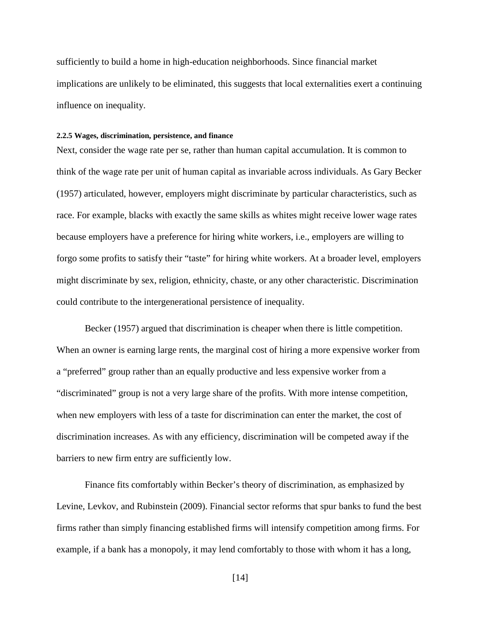sufficiently to build a home in high-education neighborhoods. Since financial market implications are unlikely to be eliminated, this suggests that local externalities exert a continuing influence on inequality.

### **2.2.5 Wages, discrimination, persistence, and finance**

Next, consider the wage rate per se, rather than human capital accumulation. It is common to think of the wage rate per unit of human capital as invariable across individuals. As Gary Becker (1957) articulated, however, employers might discriminate by particular characteristics, such as race. For example, blacks with exactly the same skills as whites might receive lower wage rates because employers have a preference for hiring white workers, i.e., employers are willing to forgo some profits to satisfy their "taste" for hiring white workers. At a broader level, employers might discriminate by sex, religion, ethnicity, chaste, or any other characteristic. Discrimination could contribute to the intergenerational persistence of inequality.

Becker (1957) argued that discrimination is cheaper when there is little competition. When an owner is earning large rents, the marginal cost of hiring a more expensive worker from a "preferred" group rather than an equally productive and less expensive worker from a "discriminated" group is not a very large share of the profits. With more intense competition, when new employers with less of a taste for discrimination can enter the market, the cost of discrimination increases. As with any efficiency, discrimination will be competed away if the barriers to new firm entry are sufficiently low.

Finance fits comfortably within Becker's theory of discrimination, as emphasized by Levine, Levkov, and Rubinstein (2009). Financial sector reforms that spur banks to fund the best firms rather than simply financing established firms will intensify competition among firms. For example, if a bank has a monopoly, it may lend comfortably to those with whom it has a long,

[14]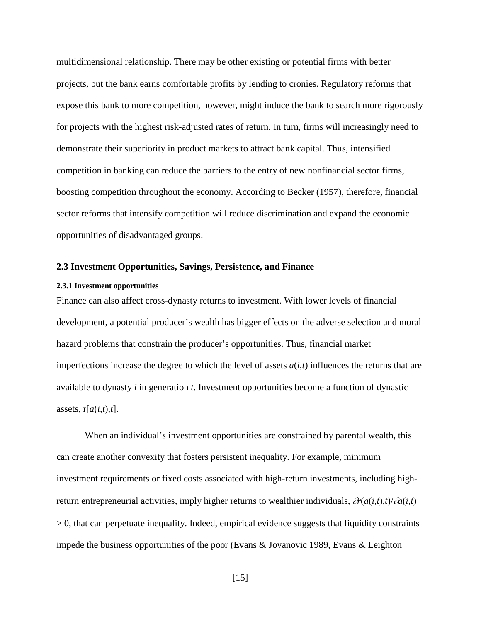multidimensional relationship. There may be other existing or potential firms with better projects, but the bank earns comfortable profits by lending to cronies. Regulatory reforms that expose this bank to more competition, however, might induce the bank to search more rigorously for projects with the highest risk-adjusted rates of return. In turn, firms will increasingly need to demonstrate their superiority in product markets to attract bank capital. Thus, intensified competition in banking can reduce the barriers to the entry of new nonfinancial sector firms, boosting competition throughout the economy. According to Becker (1957), therefore, financial sector reforms that intensify competition will reduce discrimination and expand the economic opportunities of disadvantaged groups.

### **2.3 Investment Opportunities, Savings, Persistence, and Finance**

#### **2.3.1 Investment opportunities**

Finance can also affect cross-dynasty returns to investment. With lower levels of financial development, a potential producer's wealth has bigger effects on the adverse selection and moral hazard problems that constrain the producer's opportunities. Thus, financial market imperfections increase the degree to which the level of assets  $a(i,t)$  influences the returns that are available to dynasty *i* in generation *t*. Investment opportunities become a function of dynastic assets,  $r[a(i,t),t]$ .

When an individual's investment opportunities are constrained by parental wealth, this can create another convexity that fosters persistent inequality. For example, minimum investment requirements or fixed costs associated with high-return investments, including highreturn entrepreneurial activities, imply higher returns to wealthier individuals,  $\partial r(a(i,t),t)/\partial a(i,t)$  $> 0$ , that can perpetuate inequality. Indeed, empirical evidence suggests that liquidity constraints impede the business opportunities of the poor (Evans & Jovanovic 1989, Evans & Leighton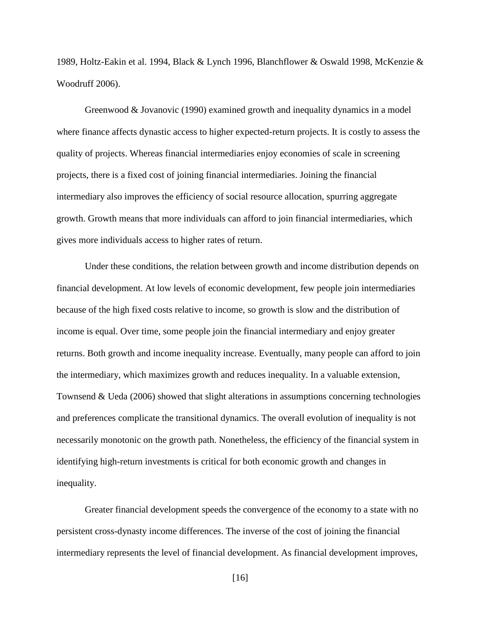1989, Holtz-Eakin et al. 1994, Black & Lynch 1996, Blanchflower & Oswald 1998, McKenzie & Woodruff 2006).

Greenwood & Jovanovic (1990) examined growth and inequality dynamics in a model where finance affects dynastic access to higher expected-return projects. It is costly to assess the quality of projects. Whereas financial intermediaries enjoy economies of scale in screening projects, there is a fixed cost of joining financial intermediaries. Joining the financial intermediary also improves the efficiency of social resource allocation, spurring aggregate growth. Growth means that more individuals can afford to join financial intermediaries, which gives more individuals access to higher rates of return.

Under these conditions, the relation between growth and income distribution depends on financial development. At low levels of economic development, few people join intermediaries because of the high fixed costs relative to income, so growth is slow and the distribution of income is equal. Over time, some people join the financial intermediary and enjoy greater returns. Both growth and income inequality increase. Eventually, many people can afford to join the intermediary, which maximizes growth and reduces inequality. In a valuable extension, Townsend & Ueda (2006) showed that slight alterations in assumptions concerning technologies and preferences complicate the transitional dynamics. The overall evolution of inequality is not necessarily monotonic on the growth path. Nonetheless, the efficiency of the financial system in identifying high-return investments is critical for both economic growth and changes in inequality.

Greater financial development speeds the convergence of the economy to a state with no persistent cross-dynasty income differences. The inverse of the cost of joining the financial intermediary represents the level of financial development. As financial development improves,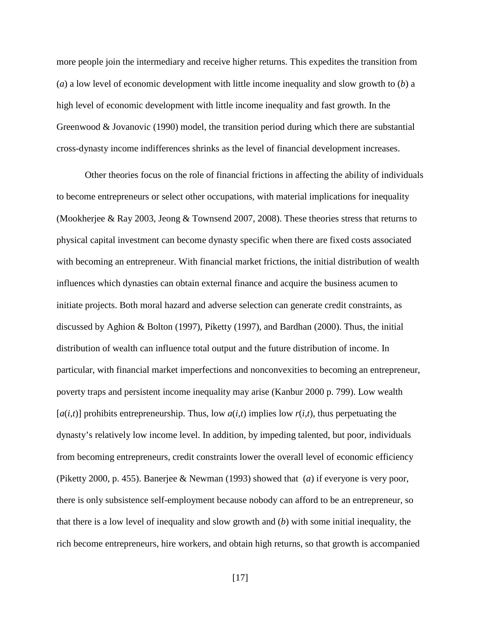more people join the intermediary and receive higher returns. This expedites the transition from (*a*) a low level of economic development with little income inequality and slow growth to (*b*) a high level of economic development with little income inequality and fast growth. In the Greenwood & Jovanovic (1990) model, the transition period during which there are substantial cross-dynasty income indifferences shrinks as the level of financial development increases.

Other theories focus on the role of financial frictions in affecting the ability of individuals to become entrepreneurs or select other occupations, with material implications for inequality (Mookherjee & Ray 2003, Jeong & Townsend 2007, 2008). These theories stress that returns to physical capital investment can become dynasty specific when there are fixed costs associated with becoming an entrepreneur. With financial market frictions, the initial distribution of wealth influences which dynasties can obtain external finance and acquire the business acumen to initiate projects. Both moral hazard and adverse selection can generate credit constraints, as discussed by Aghion & Bolton (1997), Piketty (1997), and Bardhan (2000). Thus, the initial distribution of wealth can influence total output and the future distribution of income. In particular, with financial market imperfections and nonconvexities to becoming an entrepreneur, poverty traps and persistent income inequality may arise (Kanbur 2000 p. 799). Low wealth  $[a(i,t)]$  prohibits entrepreneurship. Thus, low  $a(i,t)$  implies low  $r(i,t)$ , thus perpetuating the dynasty's relatively low income level. In addition, by impeding talented, but poor, individuals from becoming entrepreneurs, credit constraints lower the overall level of economic efficiency (Piketty 2000, p. 455). Banerjee & Newman (1993) showed that (*a*) if everyone is very poor, there is only subsistence self-employment because nobody can afford to be an entrepreneur, so that there is a low level of inequality and slow growth and (*b*) with some initial inequality, the rich become entrepreneurs, hire workers, and obtain high returns, so that growth is accompanied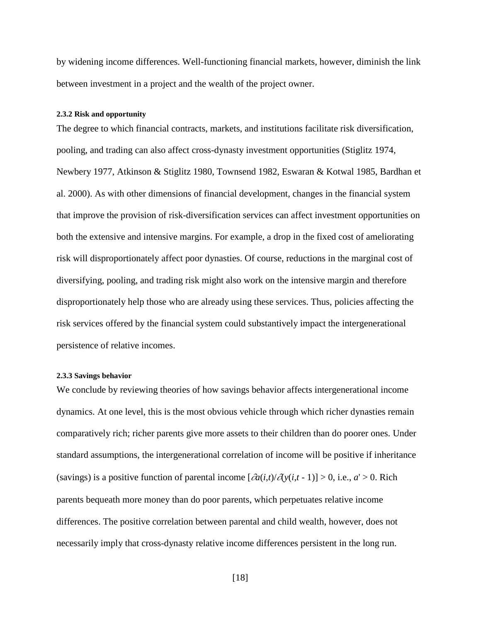by widening income differences. Well-functioning financial markets, however, diminish the link between investment in a project and the wealth of the project owner.

#### **2.3.2 Risk and opportunity**

The degree to which financial contracts, markets, and institutions facilitate risk diversification, pooling, and trading can also affect cross-dynasty investment opportunities (Stiglitz 1974, Newbery 1977, Atkinson & Stiglitz 1980, Townsend 1982, Eswaran & Kotwal 1985, Bardhan et al. 2000). As with other dimensions of financial development, changes in the financial system that improve the provision of risk-diversification services can affect investment opportunities on both the extensive and intensive margins. For example, a drop in the fixed cost of ameliorating risk will disproportionately affect poor dynasties. Of course, reductions in the marginal cost of diversifying, pooling, and trading risk might also work on the intensive margin and therefore disproportionately help those who are already using these services. Thus, policies affecting the risk services offered by the financial system could substantively impact the intergenerational persistence of relative incomes.

#### **2.3.3 Savings behavior**

We conclude by reviewing theories of how savings behavior affects intergenerational income dynamics. At one level, this is the most obvious vehicle through which richer dynasties remain comparatively rich; richer parents give more assets to their children than do poorer ones. Under standard assumptions, the intergenerational correlation of income will be positive if inheritance (savings) is a positive function of parental income  $[\partial a(i,t)/\partial y(i,t-1)] > 0$ , i.e.,  $a' > 0$ . Rich parents bequeath more money than do poor parents, which perpetuates relative income differences. The positive correlation between parental and child wealth, however, does not necessarily imply that cross-dynasty relative income differences persistent in the long run.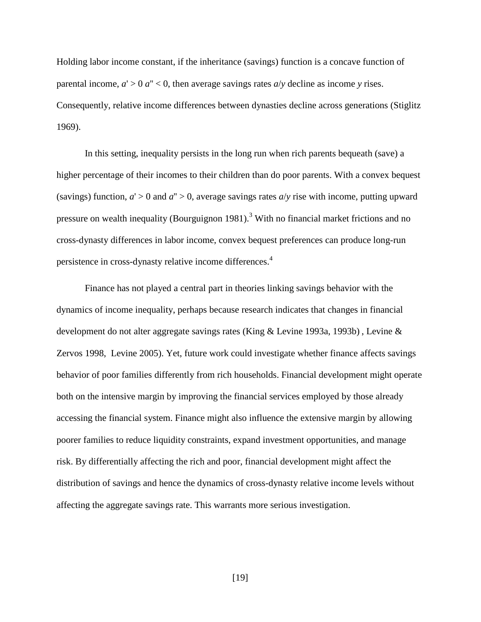Holding labor income constant, if the inheritance (savings) function is a concave function of parental income,  $a' > 0$   $a'' < 0$ , then average savings rates  $a/y$  decline as income *y* rises. Consequently, relative income differences between dynasties decline across generations (Stiglitz 1969).

In this setting, inequality persists in the long run when rich parents bequeath (save) a higher percentage of their incomes to their children than do poor parents. With a convex bequest (savings) function,  $a' > 0$  and  $a'' > 0$ , average savings rates  $a/y$  rise with income, putting upward pressure on wealth inequality (Bourguignon 1981).<sup>3</sup> With no financial market frictions and no cross-dynasty differences in labor income, convex bequest preferences can produce long-run persistence in cross-dynasty relative income differences.4

Finance has not played a central part in theories linking savings behavior with the dynamics of income inequality, perhaps because research indicates that changes in financial development do not alter aggregate savings rates (King & Levine 1993a, 1993b) , Levine & Zervos 1998, Levine 2005). Yet, future work could investigate whether finance affects savings behavior of poor families differently from rich households. Financial development might operate both on the intensive margin by improving the financial services employed by those already accessing the financial system. Finance might also influence the extensive margin by allowing poorer families to reduce liquidity constraints, expand investment opportunities, and manage risk. By differentially affecting the rich and poor, financial development might affect the distribution of savings and hence the dynamics of cross-dynasty relative income levels without affecting the aggregate savings rate. This warrants more serious investigation.

[19]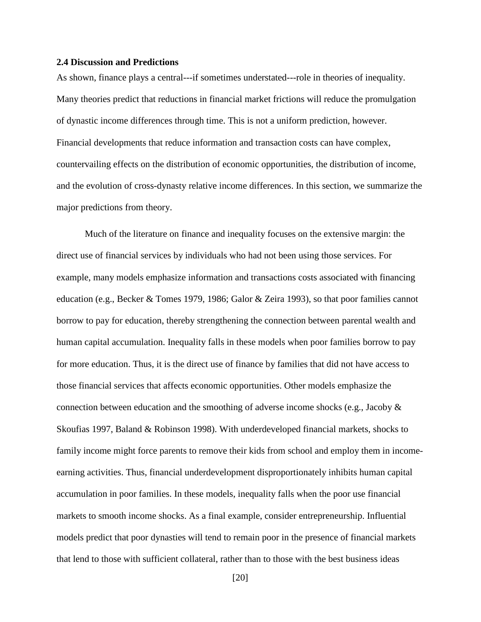## **2.4 Discussion and Predictions**

As shown, finance plays a central---if sometimes understated---role in theories of inequality. Many theories predict that reductions in financial market frictions will reduce the promulgation of dynastic income differences through time. This is not a uniform prediction, however. Financial developments that reduce information and transaction costs can have complex, countervailing effects on the distribution of economic opportunities, the distribution of income, and the evolution of cross-dynasty relative income differences. In this section, we summarize the major predictions from theory.

Much of the literature on finance and inequality focuses on the extensive margin: the direct use of financial services by individuals who had not been using those services. For example, many models emphasize information and transactions costs associated with financing education (e.g., Becker & Tomes 1979, 1986; Galor & Zeira 1993), so that poor families cannot borrow to pay for education, thereby strengthening the connection between parental wealth and human capital accumulation. Inequality falls in these models when poor families borrow to pay for more education. Thus, it is the direct use of finance by families that did not have access to those financial services that affects economic opportunities. Other models emphasize the connection between education and the smoothing of adverse income shocks (e.g., Jacoby  $\&$ Skoufias 1997, Baland & Robinson 1998). With underdeveloped financial markets, shocks to family income might force parents to remove their kids from school and employ them in incomeearning activities. Thus, financial underdevelopment disproportionately inhibits human capital accumulation in poor families. In these models, inequality falls when the poor use financial markets to smooth income shocks. As a final example, consider entrepreneurship. Influential models predict that poor dynasties will tend to remain poor in the presence of financial markets that lend to those with sufficient collateral, rather than to those with the best business ideas

[20]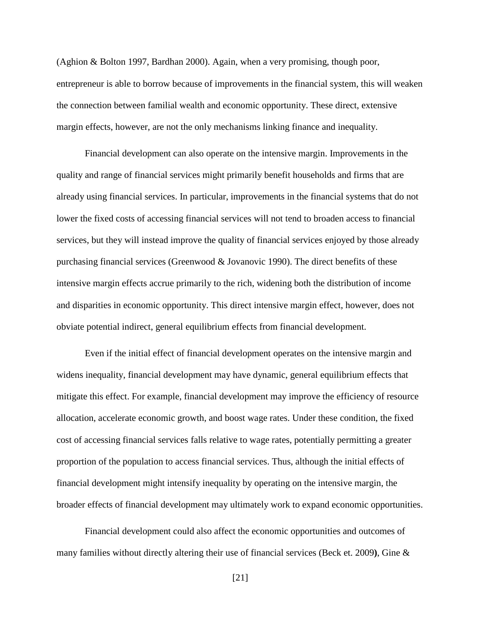(Aghion & Bolton 1997, Bardhan 2000). Again, when a very promising, though poor, entrepreneur is able to borrow because of improvements in the financial system, this will weaken the connection between familial wealth and economic opportunity. These direct, extensive margin effects, however, are not the only mechanisms linking finance and inequality.

Financial development can also operate on the intensive margin. Improvements in the quality and range of financial services might primarily benefit households and firms that are already using financial services. In particular, improvements in the financial systems that do not lower the fixed costs of accessing financial services will not tend to broaden access to financial services, but they will instead improve the quality of financial services enjoyed by those already purchasing financial services (Greenwood & Jovanovic 1990). The direct benefits of these intensive margin effects accrue primarily to the rich, widening both the distribution of income and disparities in economic opportunity. This direct intensive margin effect, however, does not obviate potential indirect, general equilibrium effects from financial development.

Even if the initial effect of financial development operates on the intensive margin and widens inequality, financial development may have dynamic, general equilibrium effects that mitigate this effect. For example, financial development may improve the efficiency of resource allocation, accelerate economic growth, and boost wage rates. Under these condition, the fixed cost of accessing financial services falls relative to wage rates, potentially permitting a greater proportion of the population to access financial services. Thus, although the initial effects of financial development might intensify inequality by operating on the intensive margin, the broader effects of financial development may ultimately work to expand economic opportunities.

Financial development could also affect the economic opportunities and outcomes of many families without directly altering their use of financial services (Beck et. 2009**)**, Gine &

[21]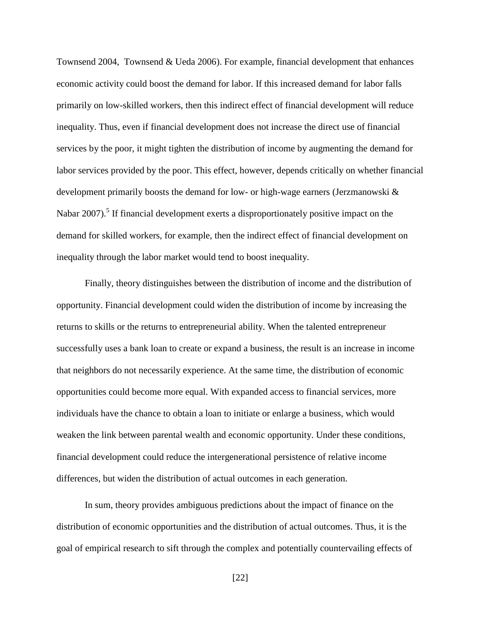Townsend 2004, Townsend & Ueda 2006). For example, financial development that enhances economic activity could boost the demand for labor. If this increased demand for labor falls primarily on low-skilled workers, then this indirect effect of financial development will reduce inequality. Thus, even if financial development does not increase the direct use of financial services by the poor, it might tighten the distribution of income by augmenting the demand for labor services provided by the poor. This effect, however, depends critically on whether financial development primarily boosts the demand for low- or high-wage earners (Jerzmanowski & Nabar 2007).<sup>5</sup> If financial development exerts a disproportionately positive impact on the demand for skilled workers, for example, then the indirect effect of financial development on inequality through the labor market would tend to boost inequality.

Finally, theory distinguishes between the distribution of income and the distribution of opportunity. Financial development could widen the distribution of income by increasing the returns to skills or the returns to entrepreneurial ability. When the talented entrepreneur successfully uses a bank loan to create or expand a business, the result is an increase in income that neighbors do not necessarily experience. At the same time, the distribution of economic opportunities could become more equal. With expanded access to financial services, more individuals have the chance to obtain a loan to initiate or enlarge a business, which would weaken the link between parental wealth and economic opportunity. Under these conditions, financial development could reduce the intergenerational persistence of relative income differences, but widen the distribution of actual outcomes in each generation.

In sum, theory provides ambiguous predictions about the impact of finance on the distribution of economic opportunities and the distribution of actual outcomes. Thus, it is the goal of empirical research to sift through the complex and potentially countervailing effects of

[22]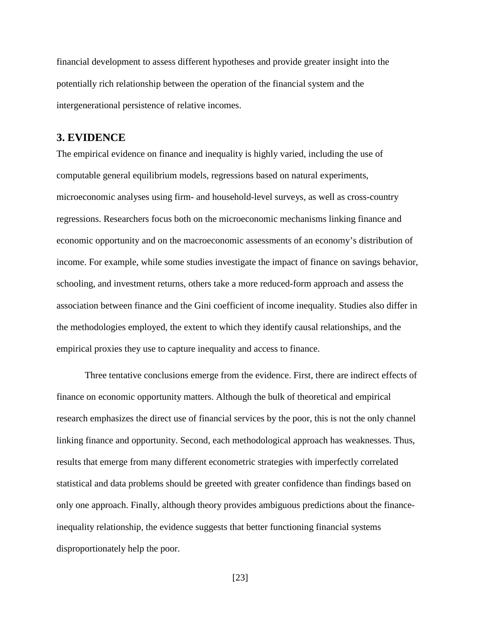financial development to assess different hypotheses and provide greater insight into the potentially rich relationship between the operation of the financial system and the intergenerational persistence of relative incomes.

## **3. EVIDENCE**

The empirical evidence on finance and inequality is highly varied, including the use of computable general equilibrium models, regressions based on natural experiments, microeconomic analyses using firm- and household-level surveys, as well as cross-country regressions. Researchers focus both on the microeconomic mechanisms linking finance and economic opportunity and on the macroeconomic assessments of an economy's distribution of income. For example, while some studies investigate the impact of finance on savings behavior, schooling, and investment returns, others take a more reduced-form approach and assess the association between finance and the Gini coefficient of income inequality. Studies also differ in the methodologies employed, the extent to which they identify causal relationships, and the empirical proxies they use to capture inequality and access to finance.

Three tentative conclusions emerge from the evidence. First, there are indirect effects of finance on economic opportunity matters. Although the bulk of theoretical and empirical research emphasizes the direct use of financial services by the poor, this is not the only channel linking finance and opportunity. Second, each methodological approach has weaknesses. Thus, results that emerge from many different econometric strategies with imperfectly correlated statistical and data problems should be greeted with greater confidence than findings based on only one approach. Finally, although theory provides ambiguous predictions about the financeinequality relationship, the evidence suggests that better functioning financial systems disproportionately help the poor.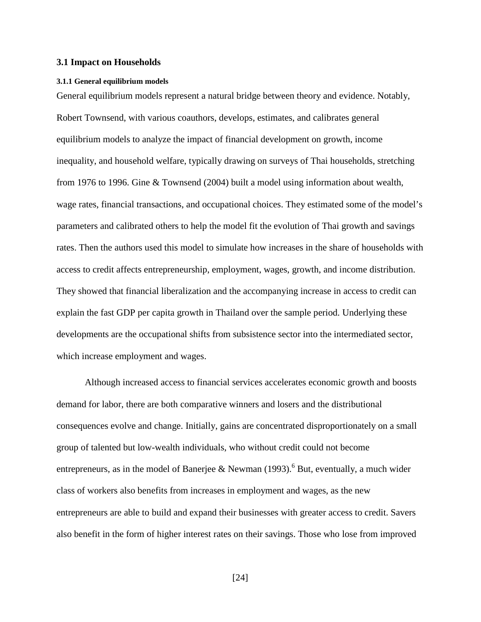### **3.1 Impact on Households**

#### **3.1.1 General equilibrium models**

General equilibrium models represent a natural bridge between theory and evidence. Notably, Robert Townsend, with various coauthors, develops, estimates, and calibrates general equilibrium models to analyze the impact of financial development on growth, income inequality, and household welfare, typically drawing on surveys of Thai households, stretching from 1976 to 1996. Gine & Townsend (2004) built a model using information about wealth, wage rates, financial transactions, and occupational choices. They estimated some of the model's parameters and calibrated others to help the model fit the evolution of Thai growth and savings rates. Then the authors used this model to simulate how increases in the share of households with access to credit affects entrepreneurship, employment, wages, growth, and income distribution. They showed that financial liberalization and the accompanying increase in access to credit can explain the fast GDP per capita growth in Thailand over the sample period. Underlying these developments are the occupational shifts from subsistence sector into the intermediated sector, which increase employment and wages.

Although increased access to financial services accelerates economic growth and boosts demand for labor, there are both comparative winners and losers and the distributional consequences evolve and change. Initially, gains are concentrated disproportionately on a small group of talented but low-wealth individuals, who without credit could not become entrepreneurs, as in the model of Banerjee & Newman  $(1993)$ <sup>6</sup> But, eventually, a much wider class of workers also benefits from increases in employment and wages, as the new entrepreneurs are able to build and expand their businesses with greater access to credit. Savers also benefit in the form of higher interest rates on their savings. Those who lose from improved

[24]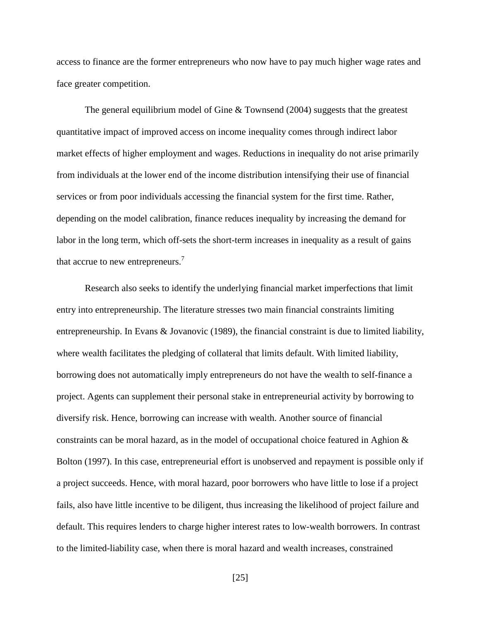access to finance are the former entrepreneurs who now have to pay much higher wage rates and face greater competition.

The general equilibrium model of Gine  $&$  Townsend (2004) suggests that the greatest quantitative impact of improved access on income inequality comes through indirect labor market effects of higher employment and wages. Reductions in inequality do not arise primarily from individuals at the lower end of the income distribution intensifying their use of financial services or from poor individuals accessing the financial system for the first time. Rather, depending on the model calibration, finance reduces inequality by increasing the demand for labor in the long term, which off-sets the short-term increases in inequality as a result of gains that accrue to new entrepreneurs.<sup>7</sup>

Research also seeks to identify the underlying financial market imperfections that limit entry into entrepreneurship. The literature stresses two main financial constraints limiting entrepreneurship. In Evans & Jovanovic (1989), the financial constraint is due to limited liability, where wealth facilitates the pledging of collateral that limits default. With limited liability, borrowing does not automatically imply entrepreneurs do not have the wealth to self-finance a project. Agents can supplement their personal stake in entrepreneurial activity by borrowing to diversify risk. Hence, borrowing can increase with wealth. Another source of financial constraints can be moral hazard, as in the model of occupational choice featured in Aghion & Bolton (1997). In this case, entrepreneurial effort is unobserved and repayment is possible only if a project succeeds. Hence, with moral hazard, poor borrowers who have little to lose if a project fails, also have little incentive to be diligent, thus increasing the likelihood of project failure and default. This requires lenders to charge higher interest rates to low-wealth borrowers. In contrast to the limited-liability case, when there is moral hazard and wealth increases, constrained

[25]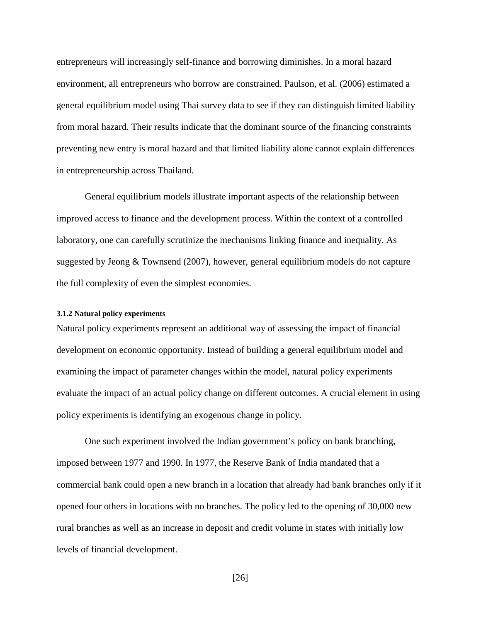entrepreneurs will increasingly self-finance and borrowing diminishes. In a moral hazard environment, all entrepreneurs who borrow are constrained. Paulson, et al. (2006) estimated a general equilibrium model using Thai survey data to see if they can distinguish limited liability from moral hazard. Their results indicate that the dominant source of the financing constraints preventing new entry is moral hazard and that limited liability alone cannot explain differences in entrepreneurship across Thailand.

General equilibrium models illustrate important aspects of the relationship between improved access to finance and the development process. Within the context of a controlled laboratory, one can carefully scrutinize the mechanisms linking finance and inequality. As suggested by Jeong & Townsend (2007), however, general equilibrium models do not capture the full complexity of even the simplest economies.

### **3.1.2 Natural policy experiments**

Natural policy experiments represent an additional way of assessing the impact of financial development on economic opportunity. Instead of building a general equilibrium model and examining the impact of parameter changes within the model, natural policy experiments evaluate the impact of an actual policy change on different outcomes. A crucial element in using policy experiments is identifying an exogenous change in policy.

One such experiment involved the Indian government's policy on bank branching, imposed between 1977 and 1990. In 1977, the Reserve Bank of India mandated that a commercial bank could open a new branch in a location that already had bank branches only if it opened four others in locations with no branches. The policy led to the opening of 30,000 new rural branches as well as an increase in deposit and credit volume in states with initially low levels of financial development.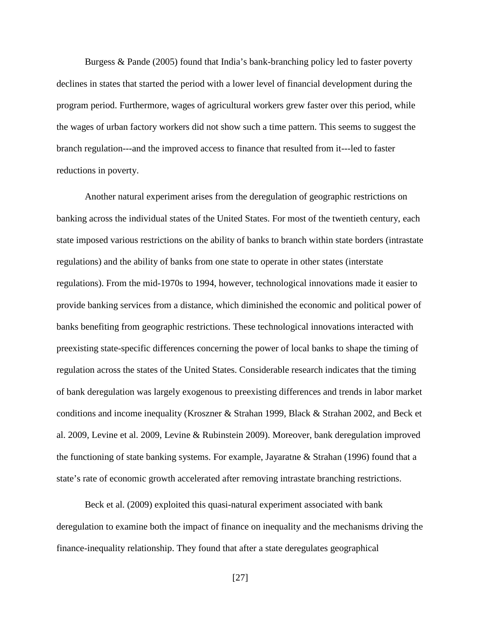Burgess & Pande (2005) found that India's bank-branching policy led to faster poverty declines in states that started the period with a lower level of financial development during the program period. Furthermore, wages of agricultural workers grew faster over this period, while the wages of urban factory workers did not show such a time pattern. This seems to suggest the branch regulation---and the improved access to finance that resulted from it---led to faster reductions in poverty.

Another natural experiment arises from the deregulation of geographic restrictions on banking across the individual states of the United States. For most of the twentieth century, each state imposed various restrictions on the ability of banks to branch within state borders (intrastate regulations) and the ability of banks from one state to operate in other states (interstate regulations). From the mid-1970s to 1994, however, technological innovations made it easier to provide banking services from a distance, which diminished the economic and political power of banks benefiting from geographic restrictions. These technological innovations interacted with preexisting state-specific differences concerning the power of local banks to shape the timing of regulation across the states of the United States. Considerable research indicates that the timing of bank deregulation was largely exogenous to preexisting differences and trends in labor market conditions and income inequality (Kroszner & Strahan 1999, Black & Strahan 2002, and Beck et al. 2009, Levine et al. 2009, Levine & Rubinstein 2009). Moreover, bank deregulation improved the functioning of state banking systems. For example, Jayaratne & Strahan (1996) found that a state's rate of economic growth accelerated after removing intrastate branching restrictions.

Beck et al. (2009) exploited this quasi-natural experiment associated with bank deregulation to examine both the impact of finance on inequality and the mechanisms driving the finance-inequality relationship. They found that after a state deregulates geographical

[27]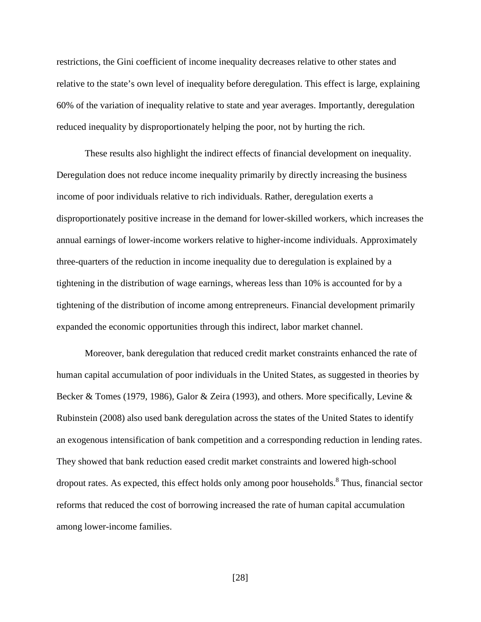restrictions, the Gini coefficient of income inequality decreases relative to other states and relative to the state's own level of inequality before deregulation. This effect is large, explaining 60% of the variation of inequality relative to state and year averages. Importantly, deregulation reduced inequality by disproportionately helping the poor, not by hurting the rich.

These results also highlight the indirect effects of financial development on inequality. Deregulation does not reduce income inequality primarily by directly increasing the business income of poor individuals relative to rich individuals. Rather, deregulation exerts a disproportionately positive increase in the demand for lower-skilled workers, which increases the annual earnings of lower-income workers relative to higher-income individuals. Approximately three-quarters of the reduction in income inequality due to deregulation is explained by a tightening in the distribution of wage earnings, whereas less than 10% is accounted for by a tightening of the distribution of income among entrepreneurs. Financial development primarily expanded the economic opportunities through this indirect, labor market channel.

Moreover, bank deregulation that reduced credit market constraints enhanced the rate of human capital accumulation of poor individuals in the United States, as suggested in theories by Becker & Tomes (1979, 1986), Galor & Zeira (1993), and others. More specifically, Levine & Rubinstein (2008) also used bank deregulation across the states of the United States to identify an exogenous intensification of bank competition and a corresponding reduction in lending rates. They showed that bank reduction eased credit market constraints and lowered high-school dropout rates. As expected, this effect holds only among poor households.<sup>8</sup> Thus, financial sector reforms that reduced the cost of borrowing increased the rate of human capital accumulation among lower-income families.

[28]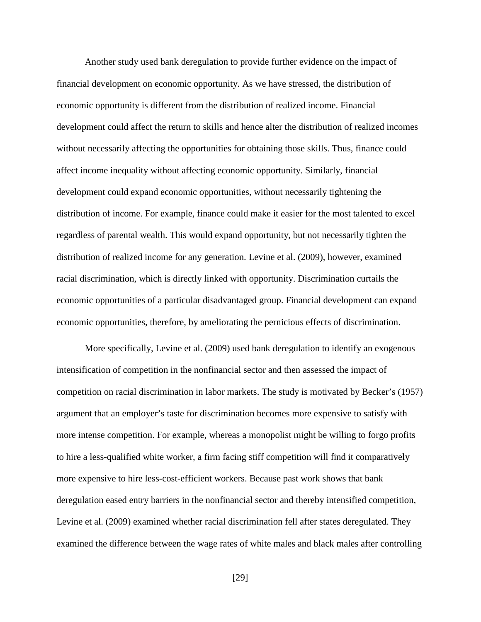Another study used bank deregulation to provide further evidence on the impact of financial development on economic opportunity. As we have stressed, the distribution of economic opportunity is different from the distribution of realized income. Financial development could affect the return to skills and hence alter the distribution of realized incomes without necessarily affecting the opportunities for obtaining those skills. Thus, finance could affect income inequality without affecting economic opportunity. Similarly, financial development could expand economic opportunities, without necessarily tightening the distribution of income. For example, finance could make it easier for the most talented to excel regardless of parental wealth. This would expand opportunity, but not necessarily tighten the distribution of realized income for any generation. Levine et al. (2009), however, examined racial discrimination, which is directly linked with opportunity. Discrimination curtails the economic opportunities of a particular disadvantaged group. Financial development can expand economic opportunities, therefore, by ameliorating the pernicious effects of discrimination.

More specifically, Levine et al. (2009) used bank deregulation to identify an exogenous intensification of competition in the nonfinancial sector and then assessed the impact of competition on racial discrimination in labor markets. The study is motivated by Becker's (1957) argument that an employer's taste for discrimination becomes more expensive to satisfy with more intense competition. For example, whereas a monopolist might be willing to forgo profits to hire a less-qualified white worker, a firm facing stiff competition will find it comparatively more expensive to hire less-cost-efficient workers. Because past work shows that bank deregulation eased entry barriers in the nonfinancial sector and thereby intensified competition, Levine et al. (2009) examined whether racial discrimination fell after states deregulated. They examined the difference between the wage rates of white males and black males after controlling

[29]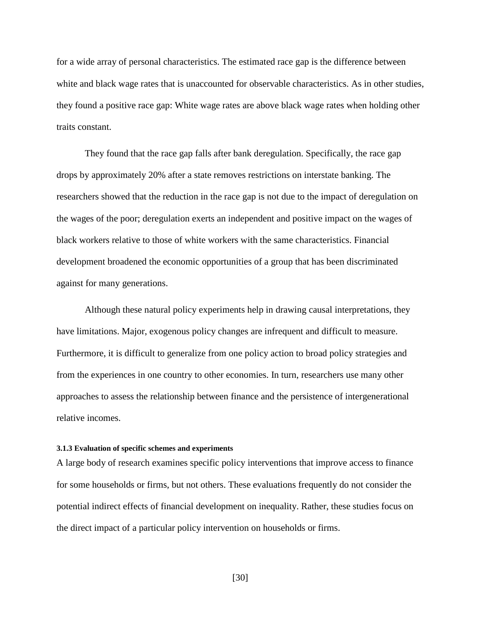for a wide array of personal characteristics. The estimated race gap is the difference between white and black wage rates that is unaccounted for observable characteristics. As in other studies, they found a positive race gap: White wage rates are above black wage rates when holding other traits constant.

They found that the race gap falls after bank deregulation. Specifically, the race gap drops by approximately 20% after a state removes restrictions on interstate banking. The researchers showed that the reduction in the race gap is not due to the impact of deregulation on the wages of the poor; deregulation exerts an independent and positive impact on the wages of black workers relative to those of white workers with the same characteristics. Financial development broadened the economic opportunities of a group that has been discriminated against for many generations.

Although these natural policy experiments help in drawing causal interpretations, they have limitations. Major, exogenous policy changes are infrequent and difficult to measure. Furthermore, it is difficult to generalize from one policy action to broad policy strategies and from the experiences in one country to other economies. In turn, researchers use many other approaches to assess the relationship between finance and the persistence of intergenerational relative incomes.

### **3.1.3 Evaluation of specific schemes and experiments**

A large body of research examines specific policy interventions that improve access to finance for some households or firms, but not others. These evaluations frequently do not consider the potential indirect effects of financial development on inequality. Rather, these studies focus on the direct impact of a particular policy intervention on households or firms.

[30]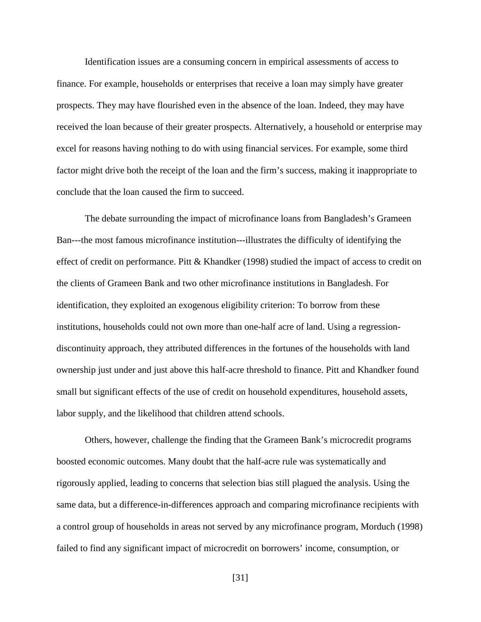Identification issues are a consuming concern in empirical assessments of access to finance. For example, households or enterprises that receive a loan may simply have greater prospects. They may have flourished even in the absence of the loan. Indeed, they may have received the loan because of their greater prospects. Alternatively, a household or enterprise may excel for reasons having nothing to do with using financial services. For example, some third factor might drive both the receipt of the loan and the firm's success, making it inappropriate to conclude that the loan caused the firm to succeed.

The debate surrounding the impact of microfinance loans from Bangladesh's Grameen Ban---the most famous microfinance institution---illustrates the difficulty of identifying the effect of credit on performance. Pitt & Khandker (1998) studied the impact of access to credit on the clients of Grameen Bank and two other microfinance institutions in Bangladesh. For identification, they exploited an exogenous eligibility criterion: To borrow from these institutions, households could not own more than one-half acre of land. Using a regressiondiscontinuity approach, they attributed differences in the fortunes of the households with land ownership just under and just above this half-acre threshold to finance. Pitt and Khandker found small but significant effects of the use of credit on household expenditures, household assets, labor supply, and the likelihood that children attend schools.

Others, however, challenge the finding that the Grameen Bank's microcredit programs boosted economic outcomes. Many doubt that the half-acre rule was systematically and rigorously applied, leading to concerns that selection bias still plagued the analysis. Using the same data, but a difference-in-differences approach and comparing microfinance recipients with a control group of households in areas not served by any microfinance program, Morduch (1998) failed to find any significant impact of microcredit on borrowers' income, consumption, or

[31]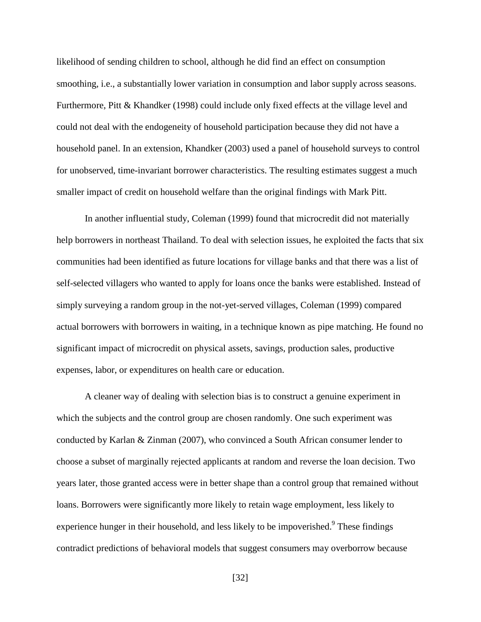likelihood of sending children to school, although he did find an effect on consumption smoothing, i.e., a substantially lower variation in consumption and labor supply across seasons. Furthermore, Pitt & Khandker (1998) could include only fixed effects at the village level and could not deal with the endogeneity of household participation because they did not have a household panel. In an extension, Khandker (2003) used a panel of household surveys to control for unobserved, time-invariant borrower characteristics. The resulting estimates suggest a much smaller impact of credit on household welfare than the original findings with Mark Pitt.

In another influential study, Coleman (1999) found that microcredit did not materially help borrowers in northeast Thailand. To deal with selection issues, he exploited the facts that six communities had been identified as future locations for village banks and that there was a list of self-selected villagers who wanted to apply for loans once the banks were established. Instead of simply surveying a random group in the not-yet-served villages, Coleman (1999) compared actual borrowers with borrowers in waiting, in a technique known as pipe matching. He found no significant impact of microcredit on physical assets, savings, production sales, productive expenses, labor, or expenditures on health care or education.

A cleaner way of dealing with selection bias is to construct a genuine experiment in which the subjects and the control group are chosen randomly. One such experiment was conducted by Karlan & Zinman (2007), who convinced a South African consumer lender to choose a subset of marginally rejected applicants at random and reverse the loan decision. Two years later, those granted access were in better shape than a control group that remained without loans. Borrowers were significantly more likely to retain wage employment, less likely to experience hunger in their household, and less likely to be impoverished.<sup>9</sup> These findings contradict predictions of behavioral models that suggest consumers may overborrow because

[32]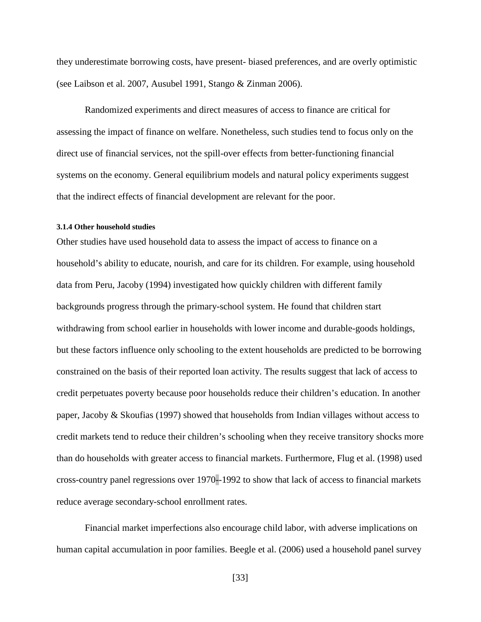they underestimate borrowing costs, have present- biased preferences, and are overly optimistic (see Laibson et al. 2007, Ausubel 1991, Stango & Zinman 2006).

Randomized experiments and direct measures of access to finance are critical for assessing the impact of finance on welfare. Nonetheless, such studies tend to focus only on the direct use of financial services, not the spill-over effects from better-functioning financial systems on the economy. General equilibrium models and natural policy experiments suggest that the indirect effects of financial development are relevant for the poor.

### **3.1.4 Other household studies**

Other studies have used household data to assess the impact of access to finance on a household's ability to educate, nourish, and care for its children. For example, using household data from Peru, Jacoby (1994) investigated how quickly children with different family backgrounds progress through the primary-school system. He found that children start withdrawing from school earlier in households with lower income and durable-goods holdings, but these factors influence only schooling to the extent households are predicted to be borrowing constrained on the basis of their reported loan activity. The results suggest that lack of access to credit perpetuates poverty because poor households reduce their children's education. In another paper, Jacoby & Skoufias (1997) showed that households from Indian villages without access to credit markets tend to reduce their children's schooling when they receive transitory shocks more than do households with greater access to financial markets. Furthermore, Flug et al. (1998) used cross-country panel regressions over 1970--1992 to show that lack of access to financial markets reduce average secondary-school enrollment rates.

Financial market imperfections also encourage child labor, with adverse implications on human capital accumulation in poor families. Beegle et al. (2006) used a household panel survey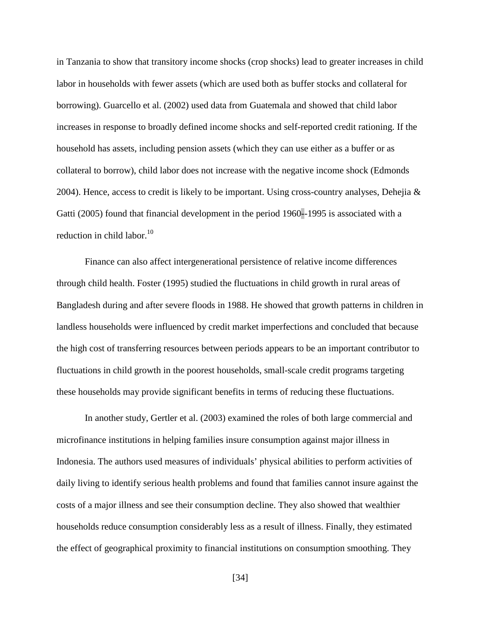in Tanzania to show that transitory income shocks (crop shocks) lead to greater increases in child labor in households with fewer assets (which are used both as buffer stocks and collateral for borrowing). Guarcello et al. (2002) used data from Guatemala and showed that child labor increases in response to broadly defined income shocks and self-reported credit rationing. If the household has assets, including pension assets (which they can use either as a buffer or as collateral to borrow), child labor does not increase with the negative income shock (Edmonds 2004). Hence, access to credit is likely to be important. Using cross-country analyses, Dehejia & Gatti (2005) found that financial development in the period 1960--1995 is associated with a reduction in child labor.<sup>10</sup>

Finance can also affect intergenerational persistence of relative income differences through child health. Foster (1995) studied the fluctuations in child growth in rural areas of Bangladesh during and after severe floods in 1988. He showed that growth patterns in children in landless households were influenced by credit market imperfections and concluded that because the high cost of transferring resources between periods appears to be an important contributor to fluctuations in child growth in the poorest households, small-scale credit programs targeting these households may provide significant benefits in terms of reducing these fluctuations.

In another study, Gertler et al. (2003) examined the roles of both large commercial and microfinance institutions in helping families insure consumption against major illness in Indonesia. The authors used measures of individuals' physical abilities to perform activities of daily living to identify serious health problems and found that families cannot insure against the costs of a major illness and see their consumption decline. They also showed that wealthier households reduce consumption considerably less as a result of illness. Finally, they estimated the effect of geographical proximity to financial institutions on consumption smoothing. They

[34]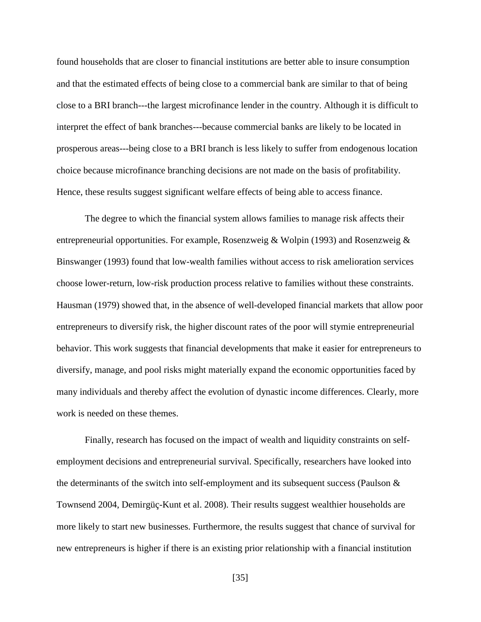found households that are closer to financial institutions are better able to insure consumption and that the estimated effects of being close to a commercial bank are similar to that of being close to a BRI branch---the largest microfinance lender in the country. Although it is difficult to interpret the effect of bank branches---because commercial banks are likely to be located in prosperous areas---being close to a BRI branch is less likely to suffer from endogenous location choice because microfinance branching decisions are not made on the basis of profitability. Hence, these results suggest significant welfare effects of being able to access finance.

The degree to which the financial system allows families to manage risk affects their entrepreneurial opportunities. For example, Rosenzweig & Wolpin (1993) and Rosenzweig  $\&$ Binswanger (1993) found that low-wealth families without access to risk amelioration services choose lower-return, low-risk production process relative to families without these constraints. Hausman (1979) showed that, in the absence of well-developed financial markets that allow poor entrepreneurs to diversify risk, the higher discount rates of the poor will stymie entrepreneurial behavior. This work suggests that financial developments that make it easier for entrepreneurs to diversify, manage, and pool risks might materially expand the economic opportunities faced by many individuals and thereby affect the evolution of dynastic income differences. Clearly, more work is needed on these themes.

Finally, research has focused on the impact of wealth and liquidity constraints on selfemployment decisions and entrepreneurial survival. Specifically, researchers have looked into the determinants of the switch into self-employment and its subsequent success (Paulson & Townsend 2004, Demirgüç-Kunt et al. 2008). Their results suggest wealthier households are more likely to start new businesses. Furthermore, the results suggest that chance of survival for new entrepreneurs is higher if there is an existing prior relationship with a financial institution

[35]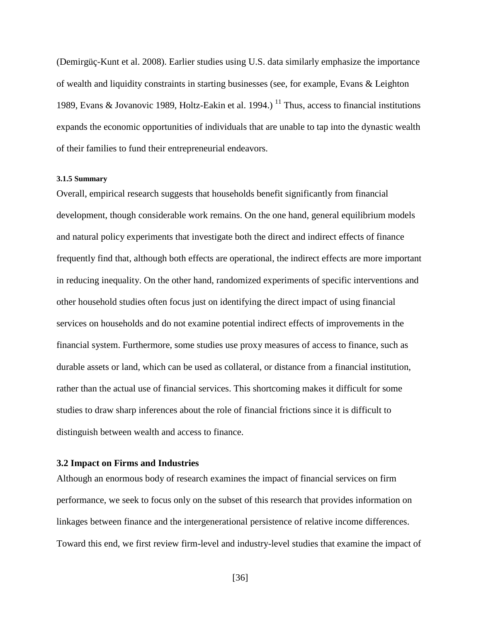(Demirgüç-Kunt et al. 2008). Earlier studies using U.S. data similarly emphasize the importance of wealth and liquidity constraints in starting businesses (see, for example, Evans & Leighton 1989, Evans & Jovanovic 1989, Holtz-Eakin et al. 1994.)<sup>11</sup> Thus, access to financial institutions expands the economic opportunities of individuals that are unable to tap into the dynastic wealth of their families to fund their entrepreneurial endeavors.

### **3.1.5 Summary**

Overall, empirical research suggests that households benefit significantly from financial development, though considerable work remains. On the one hand, general equilibrium models and natural policy experiments that investigate both the direct and indirect effects of finance frequently find that, although both effects are operational, the indirect effects are more important in reducing inequality. On the other hand, randomized experiments of specific interventions and other household studies often focus just on identifying the direct impact of using financial services on households and do not examine potential indirect effects of improvements in the financial system. Furthermore, some studies use proxy measures of access to finance, such as durable assets or land, which can be used as collateral, or distance from a financial institution, rather than the actual use of financial services. This shortcoming makes it difficult for some studies to draw sharp inferences about the role of financial frictions since it is difficult to distinguish between wealth and access to finance.

### **3.2 Impact on Firms and Industries**

Although an enormous body of research examines the impact of financial services on firm performance, we seek to focus only on the subset of this research that provides information on linkages between finance and the intergenerational persistence of relative income differences. Toward this end, we first review firm-level and industry-level studies that examine the impact of

[36]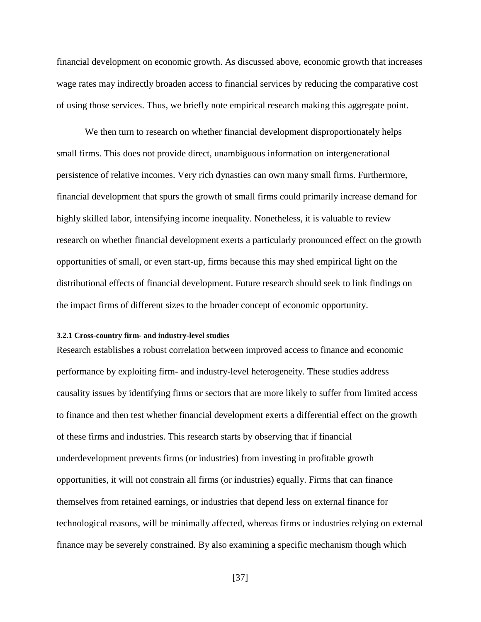financial development on economic growth. As discussed above, economic growth that increases wage rates may indirectly broaden access to financial services by reducing the comparative cost of using those services. Thus, we briefly note empirical research making this aggregate point.

We then turn to research on whether financial development disproportionately helps small firms. This does not provide direct, unambiguous information on intergenerational persistence of relative incomes. Very rich dynasties can own many small firms. Furthermore, financial development that spurs the growth of small firms could primarily increase demand for highly skilled labor, intensifying income inequality. Nonetheless, it is valuable to review research on whether financial development exerts a particularly pronounced effect on the growth opportunities of small, or even start-up, firms because this may shed empirical light on the distributional effects of financial development. Future research should seek to link findings on the impact firms of different sizes to the broader concept of economic opportunity.

#### **3.2.1 Cross-country firm- and industry-level studies**

Research establishes a robust correlation between improved access to finance and economic performance by exploiting firm- and industry-level heterogeneity. These studies address causality issues by identifying firms or sectors that are more likely to suffer from limited access to finance and then test whether financial development exerts a differential effect on the growth of these firms and industries. This research starts by observing that if financial underdevelopment prevents firms (or industries) from investing in profitable growth opportunities, it will not constrain all firms (or industries) equally. Firms that can finance themselves from retained earnings, or industries that depend less on external finance for technological reasons, will be minimally affected, whereas firms or industries relying on external finance may be severely constrained. By also examining a specific mechanism though which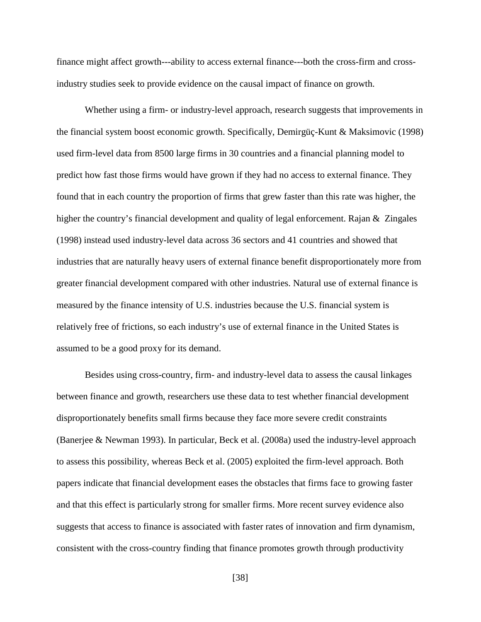finance might affect growth---ability to access external finance---both the cross-firm and crossindustry studies seek to provide evidence on the causal impact of finance on growth.

Whether using a firm- or industry-level approach, research suggests that improvements in the financial system boost economic growth. Specifically, Demirgüç-Kunt & Maksimovic (1998) used firm-level data from 8500 large firms in 30 countries and a financial planning model to predict how fast those firms would have grown if they had no access to external finance. They found that in each country the proportion of firms that grew faster than this rate was higher, the higher the country's financial development and quality of legal enforcement. Rajan  $\&$  Zingales (1998) instead used industry-level data across 36 sectors and 41 countries and showed that industries that are naturally heavy users of external finance benefit disproportionately more from greater financial development compared with other industries. Natural use of external finance is measured by the finance intensity of U.S. industries because the U.S. financial system is relatively free of frictions, so each industry's use of external finance in the United States is assumed to be a good proxy for its demand.

Besides using cross-country, firm- and industry-level data to assess the causal linkages between finance and growth, researchers use these data to test whether financial development disproportionately benefits small firms because they face more severe credit constraints (Banerjee & Newman 1993). In particular, Beck et al. (2008a) used the industry-level approach to assess this possibility, whereas Beck et al. (2005) exploited the firm-level approach. Both papers indicate that financial development eases the obstacles that firms face to growing faster and that this effect is particularly strong for smaller firms. More recent survey evidence also suggests that access to finance is associated with faster rates of innovation and firm dynamism, consistent with the cross-country finding that finance promotes growth through productivity

[38]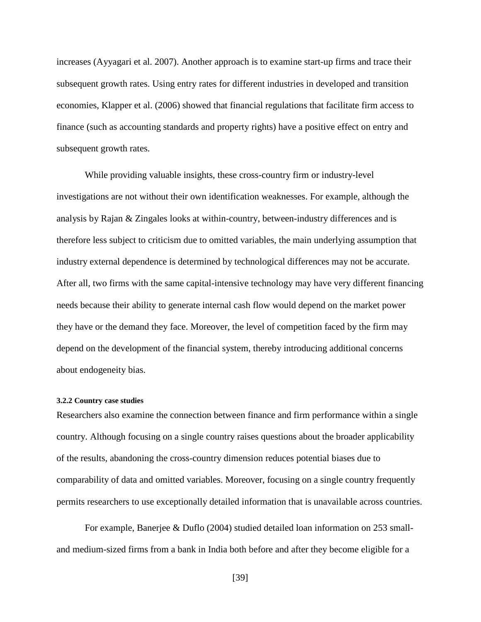increases (Ayyagari et al. 2007). Another approach is to examine start-up firms and trace their subsequent growth rates. Using entry rates for different industries in developed and transition economies, Klapper et al. (2006) showed that financial regulations that facilitate firm access to finance (such as accounting standards and property rights) have a positive effect on entry and subsequent growth rates.

While providing valuable insights, these cross-country firm or industry-level investigations are not without their own identification weaknesses. For example, although the analysis by Rajan & Zingales looks at within-country, between-industry differences and is therefore less subject to criticism due to omitted variables, the main underlying assumption that industry external dependence is determined by technological differences may not be accurate. After all, two firms with the same capital-intensive technology may have very different financing needs because their ability to generate internal cash flow would depend on the market power they have or the demand they face. Moreover, the level of competition faced by the firm may depend on the development of the financial system, thereby introducing additional concerns about endogeneity bias.

### **3.2.2 Country case studies**

Researchers also examine the connection between finance and firm performance within a single country. Although focusing on a single country raises questions about the broader applicability of the results, abandoning the cross-country dimension reduces potential biases due to comparability of data and omitted variables. Moreover, focusing on a single country frequently permits researchers to use exceptionally detailed information that is unavailable across countries.

For example, Banerjee & Duflo (2004) studied detailed loan information on 253 smalland medium-sized firms from a bank in India both before and after they become eligible for a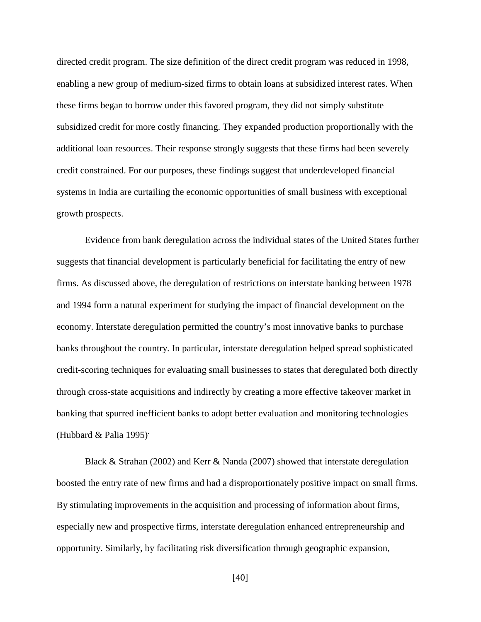directed credit program. The size definition of the direct credit program was reduced in 1998, enabling a new group of medium-sized firms to obtain loans at subsidized interest rates. When these firms began to borrow under this favored program, they did not simply substitute subsidized credit for more costly financing. They expanded production proportionally with the additional loan resources. Their response strongly suggests that these firms had been severely credit constrained. For our purposes, these findings suggest that underdeveloped financial systems in India are curtailing the economic opportunities of small business with exceptional growth prospects.

Evidence from bank deregulation across the individual states of the United States further suggests that financial development is particularly beneficial for facilitating the entry of new firms. As discussed above, the deregulation of restrictions on interstate banking between 1978 and 1994 form a natural experiment for studying the impact of financial development on the economy. Interstate deregulation permitted the country's most innovative banks to purchase banks throughout the country. In particular, interstate deregulation helped spread sophisticated credit-scoring techniques for evaluating small businesses to states that deregulated both directly through cross-state acquisitions and indirectly by creating a more effective takeover market in banking that spurred inefficient banks to adopt better evaluation and monitoring technologies (Hubbard & Palia 1995).

Black & Strahan (2002) and Kerr & Nanda (2007) showed that interstate deregulation boosted the entry rate of new firms and had a disproportionately positive impact on small firms. By stimulating improvements in the acquisition and processing of information about firms, especially new and prospective firms, interstate deregulation enhanced entrepreneurship and opportunity. Similarly, by facilitating risk diversification through geographic expansion,

[40]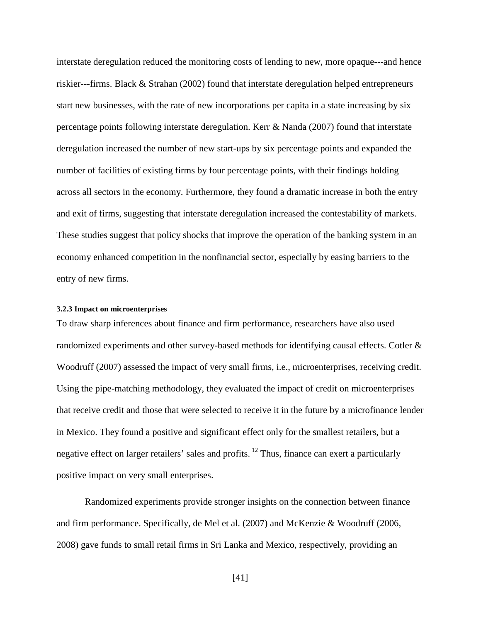interstate deregulation reduced the monitoring costs of lending to new, more opaque---and hence riskier---firms. Black & Strahan (2002) found that interstate deregulation helped entrepreneurs start new businesses, with the rate of new incorporations per capita in a state increasing by six percentage points following interstate deregulation. Kerr & Nanda (2007) found that interstate deregulation increased the number of new start-ups by six percentage points and expanded the number of facilities of existing firms by four percentage points, with their findings holding across all sectors in the economy. Furthermore, they found a dramatic increase in both the entry and exit of firms, suggesting that interstate deregulation increased the contestability of markets. These studies suggest that policy shocks that improve the operation of the banking system in an economy enhanced competition in the nonfinancial sector, especially by easing barriers to the entry of new firms.

#### **3.2.3 Impact on microenterprises**

To draw sharp inferences about finance and firm performance, researchers have also used randomized experiments and other survey-based methods for identifying causal effects. Cotler & Woodruff (2007) assessed the impact of very small firms, i.e., microenterprises, receiving credit. Using the pipe-matching methodology, they evaluated the impact of credit on microenterprises that receive credit and those that were selected to receive it in the future by a microfinance lender in Mexico. They found a positive and significant effect only for the smallest retailers, but a negative effect on larger retailers' sales and profits. <sup>12</sup> Thus, finance can exert a particularly positive impact on very small enterprises.

Randomized experiments provide stronger insights on the connection between finance and firm performance. Specifically, de Mel et al. (2007) and McKenzie & Woodruff (2006, 2008) gave funds to small retail firms in Sri Lanka and Mexico, respectively, providing an

[41]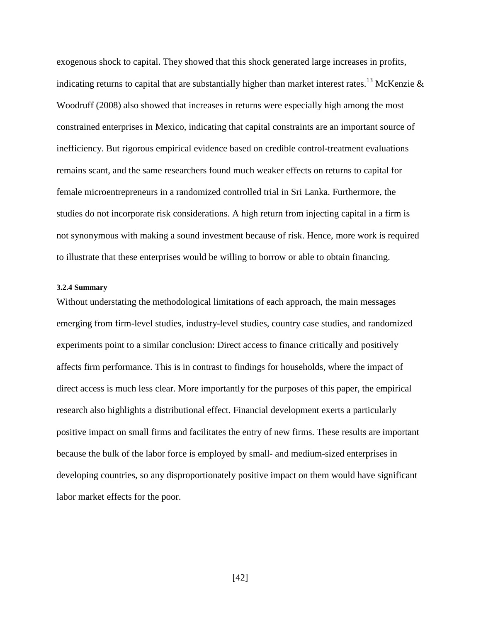exogenous shock to capital. They showed that this shock generated large increases in profits, indicating returns to capital that are substantially higher than market interest rates.<sup>13</sup> McKenzie  $\&$ Woodruff (2008) also showed that increases in returns were especially high among the most constrained enterprises in Mexico, indicating that capital constraints are an important source of inefficiency. But rigorous empirical evidence based on credible control-treatment evaluations remains scant, and the same researchers found much weaker effects on returns to capital for female microentrepreneurs in a randomized controlled trial in Sri Lanka. Furthermore, the studies do not incorporate risk considerations. A high return from injecting capital in a firm is not synonymous with making a sound investment because of risk. Hence, more work is required to illustrate that these enterprises would be willing to borrow or able to obtain financing.

### **3.2.4 Summary**

Without understating the methodological limitations of each approach, the main messages emerging from firm-level studies, industry-level studies, country case studies, and randomized experiments point to a similar conclusion: Direct access to finance critically and positively affects firm performance. This is in contrast to findings for households, where the impact of direct access is much less clear. More importantly for the purposes of this paper, the empirical research also highlights a distributional effect. Financial development exerts a particularly positive impact on small firms and facilitates the entry of new firms. These results are important because the bulk of the labor force is employed by small- and medium-sized enterprises in developing countries, so any disproportionately positive impact on them would have significant labor market effects for the poor.

[42]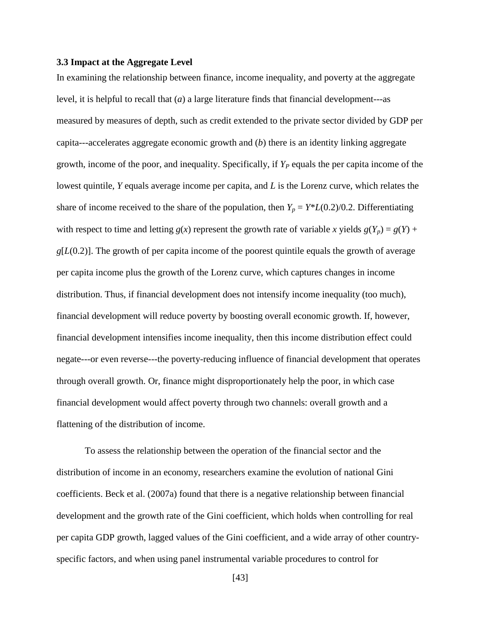## **3.3 Impact at the Aggregate Level**

In examining the relationship between finance, income inequality, and poverty at the aggregate level, it is helpful to recall that (*a*) a large literature finds that financial development---as measured by measures of depth, such as credit extended to the private sector divided by GDP per capita---accelerates aggregate economic growth and (*b*) there is an identity linking aggregate growth, income of the poor, and inequality. Specifically, if  $Y_P$  equals the per capita income of the lowest quintile, *Y* equals average income per capita, and *L* is the Lorenz curve, which relates the share of income received to the share of the population, then  $Y_p = Y^*L(0.2)/0.2$ . Differentiating with respect to time and letting  $g(x)$  represent the growth rate of variable *x* yields  $g(Y_p) = g(Y) + g(Y_p)$  $g[L(0.2)]$ . The growth of per capita income of the poorest quintile equals the growth of average per capita income plus the growth of the Lorenz curve, which captures changes in income distribution. Thus, if financial development does not intensify income inequality (too much), financial development will reduce poverty by boosting overall economic growth. If, however, financial development intensifies income inequality, then this income distribution effect could negate---or even reverse---the poverty-reducing influence of financial development that operates through overall growth. Or, finance might disproportionately help the poor, in which case financial development would affect poverty through two channels: overall growth and a flattening of the distribution of income.

To assess the relationship between the operation of the financial sector and the distribution of income in an economy, researchers examine the evolution of national Gini coefficients. Beck et al. (2007a) found that there is a negative relationship between financial development and the growth rate of the Gini coefficient, which holds when controlling for real per capita GDP growth, lagged values of the Gini coefficient, and a wide array of other countryspecific factors, and when using panel instrumental variable procedures to control for

[43]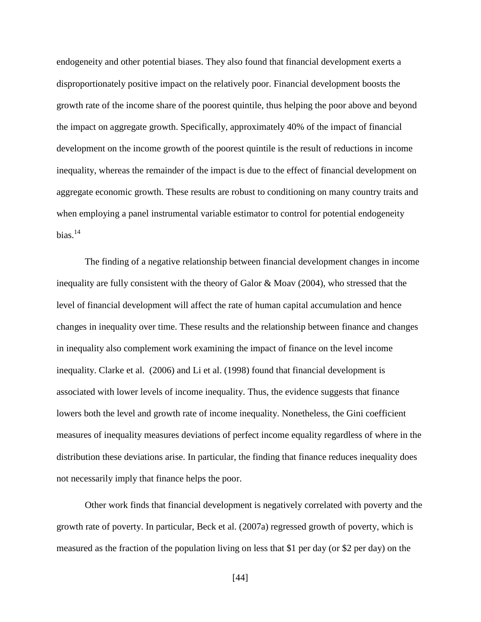endogeneity and other potential biases. They also found that financial development exerts a disproportionately positive impact on the relatively poor. Financial development boosts the growth rate of the income share of the poorest quintile, thus helping the poor above and beyond the impact on aggregate growth. Specifically, approximately 40% of the impact of financial development on the income growth of the poorest quintile is the result of reductions in income inequality, whereas the remainder of the impact is due to the effect of financial development on aggregate economic growth. These results are robust to conditioning on many country traits and when employing a panel instrumental variable estimator to control for potential endogeneity  $bias<sup>14</sup>$ 

The finding of a negative relationship between financial development changes in income inequality are fully consistent with the theory of Galor  $\&$  Moav (2004), who stressed that the level of financial development will affect the rate of human capital accumulation and hence changes in inequality over time. These results and the relationship between finance and changes in inequality also complement work examining the impact of finance on the level income inequality. Clarke et al. (2006) and Li et al. (1998) found that financial development is associated with lower levels of income inequality. Thus, the evidence suggests that finance lowers both the level and growth rate of income inequality. Nonetheless, the Gini coefficient measures of inequality measures deviations of perfect income equality regardless of where in the distribution these deviations arise. In particular, the finding that finance reduces inequality does not necessarily imply that finance helps the poor.

Other work finds that financial development is negatively correlated with poverty and the growth rate of poverty. In particular, Beck et al. (2007a) regressed growth of poverty, which is measured as the fraction of the population living on less that \$1 per day (or \$2 per day) on the

[44]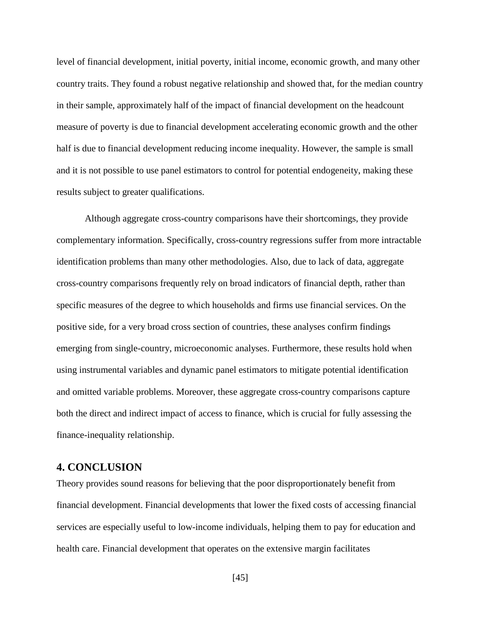level of financial development, initial poverty, initial income, economic growth, and many other country traits. They found a robust negative relationship and showed that, for the median country in their sample, approximately half of the impact of financial development on the headcount measure of poverty is due to financial development accelerating economic growth and the other half is due to financial development reducing income inequality. However, the sample is small and it is not possible to use panel estimators to control for potential endogeneity, making these results subject to greater qualifications.

Although aggregate cross-country comparisons have their shortcomings, they provide complementary information. Specifically, cross-country regressions suffer from more intractable identification problems than many other methodologies. Also, due to lack of data, aggregate cross-country comparisons frequently rely on broad indicators of financial depth, rather than specific measures of the degree to which households and firms use financial services. On the positive side, for a very broad cross section of countries, these analyses confirm findings emerging from single-country, microeconomic analyses. Furthermore, these results hold when using instrumental variables and dynamic panel estimators to mitigate potential identification and omitted variable problems. Moreover, these aggregate cross-country comparisons capture both the direct and indirect impact of access to finance, which is crucial for fully assessing the finance-inequality relationship.

# **4. CONCLUSION**

Theory provides sound reasons for believing that the poor disproportionately benefit from financial development. Financial developments that lower the fixed costs of accessing financial services are especially useful to low-income individuals, helping them to pay for education and health care. Financial development that operates on the extensive margin facilitates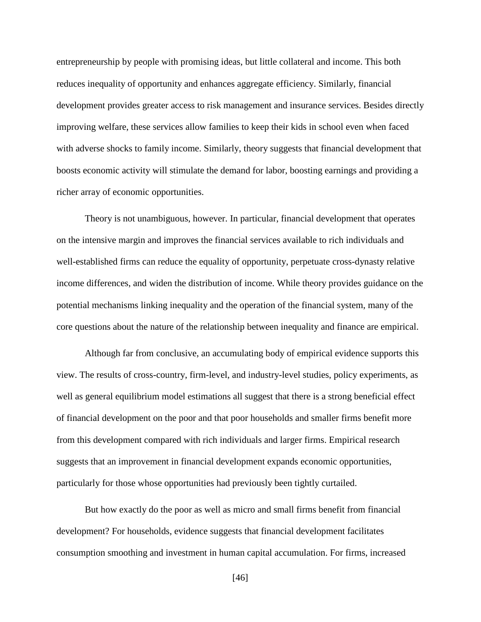entrepreneurship by people with promising ideas, but little collateral and income. This both reduces inequality of opportunity and enhances aggregate efficiency. Similarly, financial development provides greater access to risk management and insurance services. Besides directly improving welfare, these services allow families to keep their kids in school even when faced with adverse shocks to family income. Similarly, theory suggests that financial development that boosts economic activity will stimulate the demand for labor, boosting earnings and providing a richer array of economic opportunities.

Theory is not unambiguous, however. In particular, financial development that operates on the intensive margin and improves the financial services available to rich individuals and well-established firms can reduce the equality of opportunity, perpetuate cross-dynasty relative income differences, and widen the distribution of income. While theory provides guidance on the potential mechanisms linking inequality and the operation of the financial system, many of the core questions about the nature of the relationship between inequality and finance are empirical.

Although far from conclusive, an accumulating body of empirical evidence supports this view. The results of cross-country, firm-level, and industry-level studies, policy experiments, as well as general equilibrium model estimations all suggest that there is a strong beneficial effect of financial development on the poor and that poor households and smaller firms benefit more from this development compared with rich individuals and larger firms. Empirical research suggests that an improvement in financial development expands economic opportunities, particularly for those whose opportunities had previously been tightly curtailed.

But how exactly do the poor as well as micro and small firms benefit from financial development? For households, evidence suggests that financial development facilitates consumption smoothing and investment in human capital accumulation. For firms, increased

[46]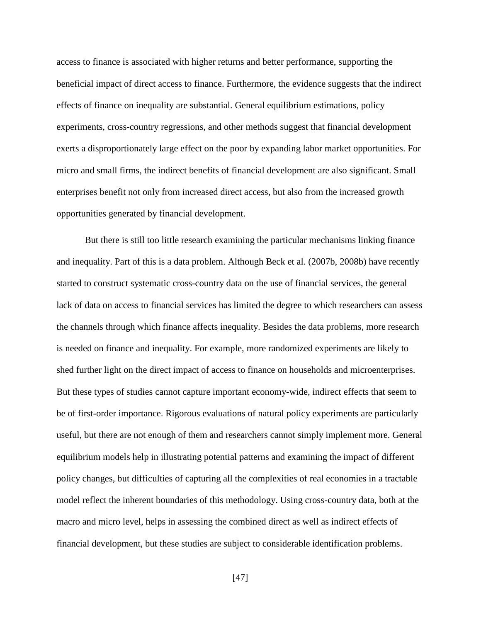access to finance is associated with higher returns and better performance, supporting the beneficial impact of direct access to finance. Furthermore, the evidence suggests that the indirect effects of finance on inequality are substantial. General equilibrium estimations, policy experiments, cross-country regressions, and other methods suggest that financial development exerts a disproportionately large effect on the poor by expanding labor market opportunities. For micro and small firms, the indirect benefits of financial development are also significant. Small enterprises benefit not only from increased direct access, but also from the increased growth opportunities generated by financial development.

But there is still too little research examining the particular mechanisms linking finance and inequality. Part of this is a data problem. Although Beck et al. (2007b, 2008b) have recently started to construct systematic cross-country data on the use of financial services, the general lack of data on access to financial services has limited the degree to which researchers can assess the channels through which finance affects inequality. Besides the data problems, more research is needed on finance and inequality. For example, more randomized experiments are likely to shed further light on the direct impact of access to finance on households and microenterprises. But these types of studies cannot capture important economy-wide, indirect effects that seem to be of first-order importance. Rigorous evaluations of natural policy experiments are particularly useful, but there are not enough of them and researchers cannot simply implement more. General equilibrium models help in illustrating potential patterns and examining the impact of different policy changes, but difficulties of capturing all the complexities of real economies in a tractable model reflect the inherent boundaries of this methodology. Using cross-country data, both at the macro and micro level, helps in assessing the combined direct as well as indirect effects of financial development, but these studies are subject to considerable identification problems.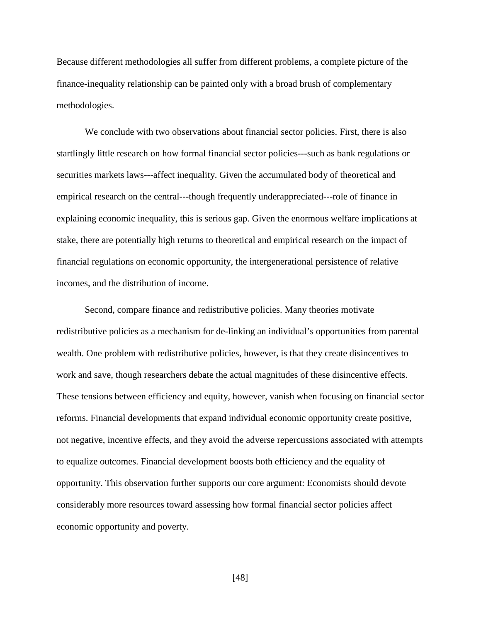Because different methodologies all suffer from different problems, a complete picture of the finance-inequality relationship can be painted only with a broad brush of complementary methodologies.

We conclude with two observations about financial sector policies. First, there is also startlingly little research on how formal financial sector policies---such as bank regulations or securities markets laws---affect inequality. Given the accumulated body of theoretical and empirical research on the central---though frequently underappreciated---role of finance in explaining economic inequality, this is serious gap. Given the enormous welfare implications at stake, there are potentially high returns to theoretical and empirical research on the impact of financial regulations on economic opportunity, the intergenerational persistence of relative incomes, and the distribution of income.

Second, compare finance and redistributive policies. Many theories motivate redistributive policies as a mechanism for de-linking an individual's opportunities from parental wealth. One problem with redistributive policies, however, is that they create disincentives to work and save, though researchers debate the actual magnitudes of these disincentive effects. These tensions between efficiency and equity, however, vanish when focusing on financial sector reforms. Financial developments that expand individual economic opportunity create positive, not negative, incentive effects, and they avoid the adverse repercussions associated with attempts to equalize outcomes. Financial development boosts both efficiency and the equality of opportunity. This observation further supports our core argument: Economists should devote considerably more resources toward assessing how formal financial sector policies affect economic opportunity and poverty.

[48]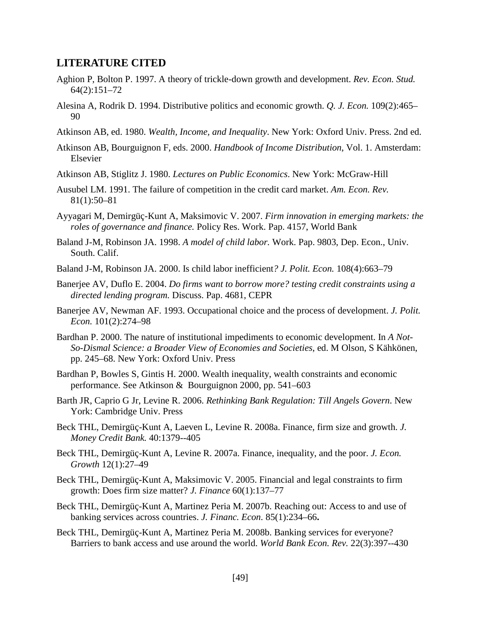# **LITERATURE CITED**

- Aghion P, Bolton P. 1997. A theory of trickle-down growth and development. *Rev. Econ. Stud.* 64(2):151–72
- Alesina A, Rodrik D. 1994. Distributive politics and economic growth. *Q. J. Econ.* 109(2):465– 90

Atkinson AB, ed. 1980. *Wealth, Income, and Inequality*. New York: Oxford Univ. Press. 2nd ed.

- Atkinson AB, Bourguignon F, eds. 2000. *Handbook of Income Distribution*, Vol. 1. Amsterdam: Elsevier
- Atkinson AB, Stiglitz J. 1980. *Lectures on Public Economics*. New York: McGraw-Hill
- Ausubel LM. 1991. The failure of competition in the credit card market. *Am. Econ. Rev.* 81(1):50–81
- Ayyagari M, Demirgüç-Kunt A, Maksimovic V. 2007. *Firm innovation in emerging markets: the roles of governance and finance.* Policy Res. Work. Pap. 4157, World Bank
- Baland J-M, Robinson JA. 1998. *A model of child labor.* Work. Pap. 9803, Dep. Econ., Univ. South. Calif.
- Baland J-M, Robinson JA. 2000. Is child labor inefficient*? J. Polit. Econ.* 108(4):663–79
- Banerjee AV, Duflo E. 2004. *Do firms want to borrow more? testing credit constraints using a directed lending program.* Discuss. Pap. 4681, CEPR
- Banerjee AV, Newman AF. 1993. Occupational choice and the process of development. *J. Polit. Econ.* 101(2):274–98
- Bardhan P. 2000. The nature of institutional impediments to economic development. In *A Not-So-Dismal Science: a Broader View of Economies and Societies*, ed. M Olson, S Kähkönen, pp. 245–68. New York: Oxford Univ. Press
- Bardhan P, Bowles S, Gintis H. 2000. Wealth inequality, wealth constraints and economic performance. See Atkinson & Bourguignon 2000, pp. 541–603
- Barth JR, Caprio G Jr, Levine R. 2006. *Rethinking Bank Regulation: Till Angels Govern*. New York: Cambridge Univ. Press
- Beck THL, Demirgüç-Kunt A, Laeven L, Levine R. 2008a. Finance, firm size and growth. *J. Money Credit Bank.* 40:1379--405
- Beck THL, Demirgüç-Kunt A, Levine R. 2007a. Finance, inequality, and the poor. *J. Econ. Growth* 12(1):27–49
- Beck THL, Demirgüç-Kunt A, Maksimovic V. 2005. Financial and legal constraints to firm growth: Does firm size matter? *J. Finance* 60(1):137–77
- Beck THL, Demirgüç-Kunt A, Martinez Peria M. 2007b. Reaching out: Access to and use of banking services across countries. *J. Financ. Econ.* 85(1):234–66**.**
- Beck THL, Demirgüç-Kunt A, Martinez Peria M. 2008b. Banking services for everyone? Barriers to bank access and use around the world. *World Bank Econ. Rev.* 22(3):397--430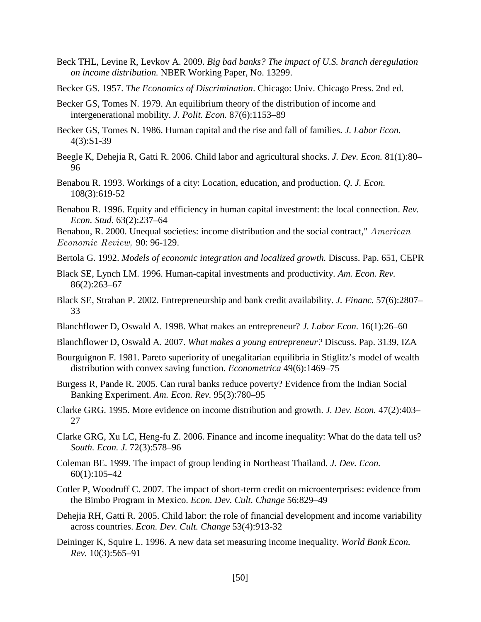- Beck THL, Levine R, Levkov A. 2009. *Big bad banks? The impact of U.S. branch deregulation on income distribution.* NBER Working Paper, No. 13299.
- Becker GS. 1957. *The Economics of Discrimination*. Chicago: Univ. Chicago Press. 2nd ed.
- Becker GS, Tomes N. 1979. An equilibrium theory of the distribution of income and intergenerational mobility. *J. Polit. Econ.* 87(6):1153–89
- Becker GS, Tomes N. 1986. Human capital and the rise and fall of families. *J. Labor Econ.* 4(3):S1-39
- Beegle K, Dehejia R, Gatti R. 2006. Child labor and agricultural shocks. *J. Dev. Econ.* 81(1):80– 96
- Benabou R. 1993. Workings of a city: Location, education, and production. *Q. J. Econ.*  108(3):619-52
- Benabou R. 1996. Equity and efficiency in human capital investment: the local connection. *Rev. Econ. Stud.* 63(2):237–64

Benabou, R. 2000. Unequal societies: income distribution and the social contract," American Economic Review, 90: 96-129.

- Bertola G. 1992. *Models of economic integration and localized growth.* Discuss. Pap. 651, CEPR
- Black SE, Lynch LM. 1996. Human-capital investments and productivity. *Am. Econ. Rev.* 86(2):263–67
- Black SE, Strahan P. 2002. Entrepreneurship and bank credit availability. *J. Financ.* 57(6):2807– 33
- Blanchflower D, Oswald A. 1998. What makes an entrepreneur? *J. Labor Econ.* 16(1):26–60
- Blanchflower D, Oswald A. 2007. *What makes a young entrepreneur?* Discuss. Pap. 3139, IZA
- Bourguignon F. 1981. Pareto superiority of unegalitarian equilibria in Stiglitz's model of wealth distribution with convex saving function. *Econometrica* 49(6):1469–75
- Burgess R, Pande R. 2005. Can rural banks reduce poverty? Evidence from the Indian Social Banking Experiment. *Am. Econ. Rev.* 95(3):780–95
- Clarke GRG. 1995. More evidence on income distribution and growth. *J. Dev. Econ.* 47(2):403– 27
- Clarke GRG, Xu LC, Heng-fu Z. 2006. Finance and income inequality: What do the data tell us? *South. Econ. J.* 72(3):578–96
- Coleman BE. 1999. The impact of group lending in Northeast Thailand. *J. Dev. Econ.* 60(1):105–42
- Cotler P, Woodruff C. 2007. The impact of short-term credit on microenterprises: evidence from the Bimbo Program in Mexico. *Econ. Dev. Cult. Change* 56:829–49
- Dehejia RH, Gatti R. 2005. Child labor: the role of financial development and income variability across countries. *Econ. Dev. Cult. Change* 53(4):913-32
- Deininger K, Squire L. 1996. A new data set measuring income inequality. *World Bank Econ. Rev.* 10(3):565–91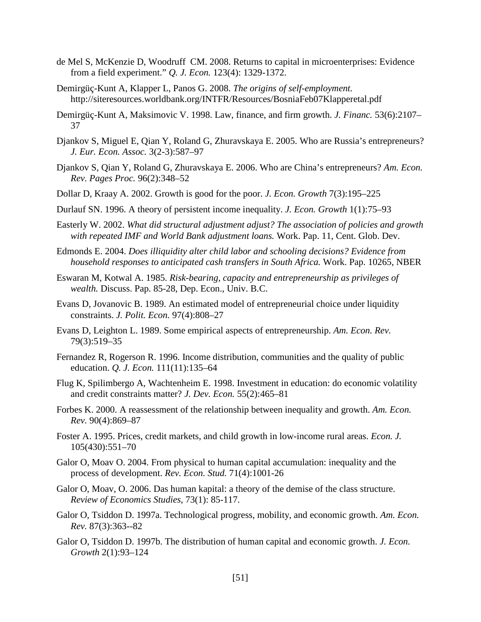- de Mel S, McKenzie D, Woodruff CM. 2008. Returns to capital in microenterprises: Evidence from a field experiment." *Q. J. Econ.* 123(4): 1329-1372.
- Demirgüç-Kunt A, Klapper L, Panos G. 2008. *The origins of self-employment.* http://siteresources.worldbank.org/INTFR/Resources/BosniaFeb07Klapperetal.pdf
- Demirgüç-Kunt A, Maksimovic V. 1998. Law, finance, and firm growth. *J. Financ.* 53(6):2107– 37
- Djankov S, Miguel E, Qian Y, Roland G, Zhuravskaya E. 2005. Who are Russia's entrepreneurs? *J. Eur. Econ. Assoc.* 3(2-3):587–97
- Djankov S, Qian Y, Roland G, Zhuravskaya E. 2006. Who are China's entrepreneurs? *Am. Econ. Rev. Pages Proc.* 96(2):348–52
- Dollar D, Kraay A. 2002. Growth is good for the poor. *J. Econ. Growth* 7(3):195–225
- Durlauf SN. 1996. A theory of persistent income inequality. *J. Econ. Growth* 1(1):75–93
- Easterly W. 2002. *What did structural adjustment adjust? The association of policies and growth with repeated IMF and World Bank adjustment loans.* Work. Pap. 11, Cent. Glob. Dev.
- Edmonds E. 2004. *Does illiquidity alter child labor and schooling decisions? Evidence from household responses to anticipated cash transfers in South Africa.* Work. Pap. 10265, NBER
- Eswaran M, Kotwal A. 1985. *Risk-bearing, capacity and entrepreneurship as privileges of wealth.* Discuss. Pap. 85-28, Dep. Econ., Univ. B.C.
- Evans D, Jovanovic B. 1989. An estimated model of entrepreneurial choice under liquidity constraints. *J. Polit. Econ.* 97(4):808–27
- Evans D, Leighton L. 1989. Some empirical aspects of entrepreneurship. *Am. Econ. Rev.* 79(3):519–35
- Fernandez R, Rogerson R. 1996. Income distribution, communities and the quality of public education. *Q. J. Econ.* 111(11):135–64
- Flug K, Spilimbergo A, Wachtenheim E. 1998. Investment in education: do economic volatility and credit constraints matter? *J. Dev. Econ.* 55(2):465–81
- Forbes K. 2000. A reassessment of the relationship between inequality and growth. *Am. Econ. Rev.* 90(4):869–87
- Foster A. 1995. Prices, credit markets, and child growth in low-income rural areas. *Econ. J.* 105(430):551–70
- Galor O, Moav O. 2004. From physical to human capital accumulation: inequality and the process of development. *Rev. Econ. Stud.* 71(4):1001-26
- Galor O, Moav, O. 2006. [Das human kapital: a theory of the demise of the class structure.](http://papers.ssrn.com/sol3/papers.cfm?abstract_id=246295) *Review of Economics Studies*, 73(1): 85-117.
- Galor O, Tsiddon D. 1997a. Technological progress, mobility, and economic growth. *Am. Econ. Rev.* 87(3):363--82
- Galor O, Tsiddon D. 1997b. The distribution of human capital and economic growth. *J. Econ. Growth* 2(1):93–124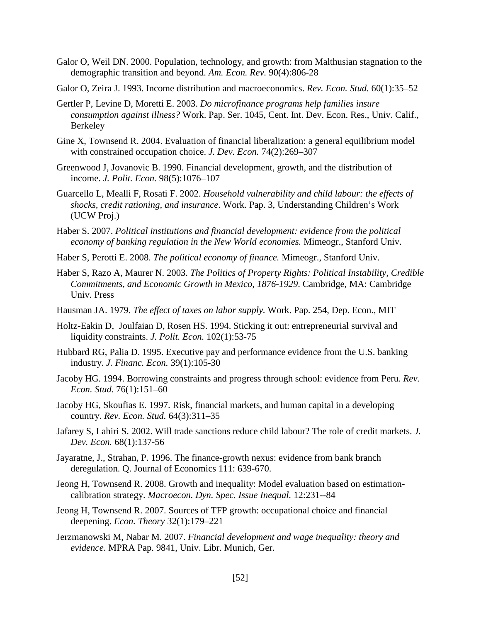- Galor O, Weil DN. 2000. Population, technology, and growth: from Malthusian stagnation to the demographic transition and beyond. *Am. Econ. Rev.* 90(4):806-28
- Galor O, Zeira J. 1993. Income distribution and macroeconomics. *Rev. Econ. Stud.* 60(1):35–52
- Gertler P, Levine D, Moretti E. 2003. *Do microfinance programs help families insure consumption against illness?* Work. Pap. Ser. 1045, Cent. Int. Dev. Econ. Res., Univ. Calif., Berkeley
- Gine X, Townsend R. 2004. Evaluation of financial liberalization: a general equilibrium model with constrained occupation choice. *J. Dev. Econ.* 74(2):269–307
- Greenwood J, Jovanovic B. 1990. Financial development, growth, and the distribution of income. *J. Polit. Econ.* 98(5):1076–107
- Guarcello L, Mealli F, Rosati F. 2002. *Household vulnerability and child labour: the effects of shocks, credit rationing, and insurance*. Work. Pap. 3, Understanding Children's Work (UCW Proj.)
- Haber S. 2007. *Political institutions and financial development: evidence from the political economy of banking regulation in the New World economies.* Mimeogr., Stanford Univ.
- Haber S, Perotti E. 2008. *The political economy of finance.* Mimeogr., Stanford Univ.
- Haber S, Razo A, Maurer N. 2003. *The Politics of Property Rights: Political Instability, Credible Commitments, and Economic Growth in Mexico, 1876-1929*. Cambridge, MA: Cambridge Univ. Press
- Hausman JA. 1979. *The effect of taxes on labor supply.* Work. Pap. 254, Dep. Econ., MIT
- Holtz-Eakin D, Joulfaian D, Rosen HS. 1994. Sticking it out: entrepreneurial survival and liquidity constraints. *J. Polit. Econ.* 102(1):53-75
- Hubbard RG, Palia D. 1995. Executive pay and performance evidence from the U.S. banking industry. *J. Financ. Econ.* 39(1):105-30
- Jacoby HG. 1994. Borrowing constraints and progress through school: evidence from Peru. *Rev. Econ. Stud.* 76(1):151–60
- Jacoby HG, Skoufias E. 1997. Risk, financial markets, and human capital in a developing country. *Rev. Econ. Stud.* 64(3):311–35
- Jafarey S, Lahiri S. 2002. Will trade sanctions reduce child labour? The role of credit markets. *J. Dev. Econ.* 68(1):137-56
- Jayaratne, J., Strahan, P. 1996. The finance-growth nexus: evidence from bank branch deregulation. Q. Journal of Economics 111: 639-670.
- Jeong H, Townsend R. 2008. Growth and inequality: Model evaluation based on estimationcalibration strategy. *Macroecon. Dyn. Spec. Issue Inequal.* 12:231--84
- Jeong H, Townsend R. 2007. Sources of TFP growth: occupational choice and financial deepening. *Econ. Theory* 32(1):179–221
- Jerzmanowski M, Nabar M. 2007. *Financial development and wage inequality: theory and evidence*. MPRA Pap. 9841, Univ. Libr. Munich, Ger.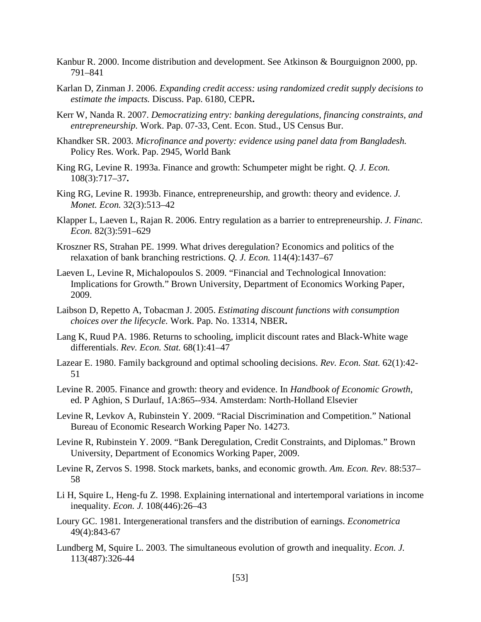- Kanbur R. 2000. Income distribution and development. See Atkinson & Bourguignon 2000, pp. 791–841
- Karlan D, Zinman J. 2006. *Expanding credit access: using randomized credit supply decisions to estimate the impacts.* Discuss. Pap. 6180, CEPR**.**
- Kerr W, Nanda R. 2007. *Democratizing entry: banking deregulations, financing constraints, and entrepreneurship.* Work. Pap. 07-33, Cent. Econ. Stud., US Census Bur.
- Khandker SR. 2003. *Microfinance and poverty: evidence using panel data from Bangladesh.* Policy Res. Work. Pap. 2945, World Bank
- King RG, Levine R. 1993a. Finance and growth: Schumpeter might be right. *Q. J. Econ.* 108(3):717–37**.**
- King RG, Levine R. 1993b. Finance, entrepreneurship, and growth: theory and evidence. *J. Monet. Econ.* 32(3):513–42
- Klapper L, Laeven L, Rajan R. 2006. Entry regulation as a barrier to entrepreneurship. *J. Financ. Econ.* 82(3):591–629
- Kroszner RS, Strahan PE. 1999. What drives deregulation? Economics and politics of the relaxation of bank branching restrictions. *Q. J. Econ.* 114(4):1437–67
- Laeven L, Levine R, Michalopoulos S. 2009. "Financial and Technological Innovation: Implications for Growth." Brown University, Department of Economics Working Paper, 2009.
- Laibson D, Repetto A, Tobacman J. 2005. *Estimating discount functions with consumption choices over the lifecycle.* Work. Pap. No. 13314, NBER**.**
- Lang K, Ruud PA. 1986. Returns to schooling, implicit discount rates and Black-White wage differentials. *Rev. Econ. Stat.* 68(1):41–47
- Lazear E. 1980. Family background and optimal schooling decisions. *Rev. Econ. Stat.* 62(1):42- 51
- Levine R. 2005. Finance and growth: theory and evidence. In *Handbook of Economic Growth*, ed. P Aghion, S Durlauf, 1A:865--934. Amsterdam: North-Holland Elsevier
- Levine R, Levkov A, Rubinstein Y. 2009. "Racial Discrimination and Competition." National Bureau of Economic Research Working Paper No. 14273.
- Levine R, Rubinstein Y. 2009. "Bank Deregulation, Credit Constraints, and Diplomas." Brown University, Department of Economics Working Paper, 2009.
- Levine R, Zervos S. 1998. Stock markets, banks, and economic growth. *Am. Econ. Rev.* 88:537– 58
- Li H, Squire L, Heng-fu Z. 1998. Explaining international and intertemporal variations in income inequality. *Econ. J.* 108(446):26–43
- Loury GC. 1981. Intergenerational transfers and the distribution of earnings. *Econometrica* 49(4):843-67
- Lundberg M, Squire L. 2003. The simultaneous evolution of growth and inequality. *Econ. J.* 113(487):326-44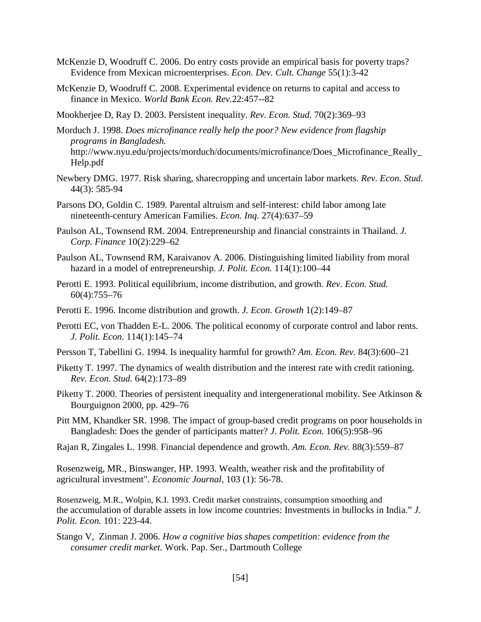- McKenzie D, Woodruff C. 2006. Do entry costs provide an empirical basis for poverty traps? Evidence from Mexican microenterprises. *Econ. Dev. Cult. Change* 55(1):3-42
- McKenzie D, Woodruff C. 2008. Experimental evidence on returns to capital and access to finance in Mexico. *World Bank Econ. Rev.*22:457--82
- Mookherjee D, Ray D. 2003. Persistent inequality. *Rev. Econ. Stud.* 70(2):369–93
- Morduch J. 1998. *Does microfinance really help the poor? New evidence from flagship programs in Bangladesh.* http://www.nyu.edu/projects/morduch/documents/microfinance/Does\_Microfinance\_Really\_ Help.pdf
- Newbery DMG. 1977. Risk sharing, sharecropping and uncertain labor markets. *Rev. Econ. Stud.* 44(3): 585-94
- Parsons DO, Goldin C. 1989. Parental altruism and self-interest: child labor among late nineteenth-century American Families. *Econ. Inq.* 27(4):637–59
- Paulson AL, Townsend RM. 2004. Entrepreneurship and financial constraints in Thailand. *J. Corp. Finance* 10(2):229–62
- Paulson AL, Townsend RM, Karaivanov A. 2006. Distinguishing limited liability from moral hazard in a model of entrepreneurship. *J. Polit. Econ.* 114(1):100–44
- Perotti E. 1993. Political equilibrium, income distribution, and growth. *Rev. Econ. Stud.* 60(4):755–76
- Perotti E. 1996. Income distribution and growth. *J. Econ. Growth* 1(2):149–87
- Perotti EC, von Thadden E-L. 2006. The political economy of corporate control and labor rents. *J. Polit. Econ.* 114(1):145–74
- Persson T, Tabellini G. 1994. Is inequality harmful for growth? *Am. Econ. Rev.* 84(3):600–21
- Piketty T. 1997. The dynamics of wealth distribution and the interest rate with credit rationing. *Rev. Econ. Stud.* 64(2):173–89
- Piketty T. 2000. Theories of persistent inequality and intergenerational mobility. See Atkinson & Bourguignon 2000, pp. 429–76
- Pitt MM, Khandker SR. 1998. The impact of group-based credit programs on poor households in Bangladesh: Does the gender of participants matter? *J. Polit. Econ.* 106(5):958–96
- Rajan R, Zingales L. 1998. Financial dependence and growth. *Am. Econ. Rev.* 88(3):559–87

Rosenzweig, MR., Binswanger, HP. 1993. Wealth, weather risk and the profitability of agricultural investment". *Economic Journal*, 103 (1): 56-78.

Rosenzweig, M.R., Wolpin, K.I. 1993. Credit market constraints, consumption smoothing and the accumulation of durable assets in low income countries: Investments in bullocks in India." *J. Polit. Econ.* 101: 223-44.

Stango V, Zinman J. 2006. *How a cognitive bias shapes competition: evidence from the consumer credit market.* Work. Pap. Ser., Dartmouth College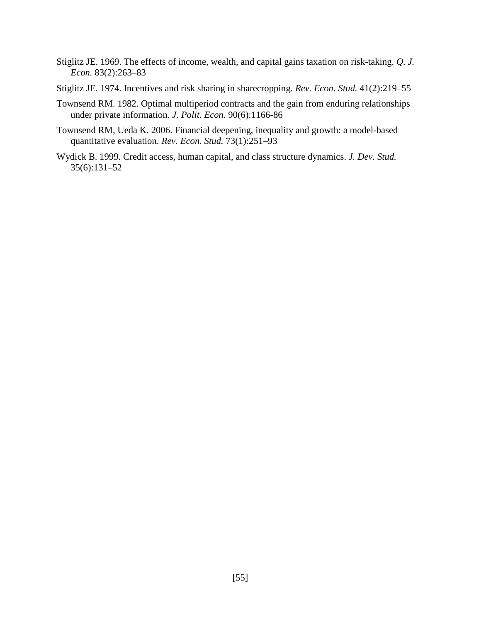- Stiglitz JE. 1969. The effects of income, wealth, and capital gains taxation on risk-taking. *Q. J. Econ.* 83(2):263–83
- Stiglitz JE. 1974. Incentives and risk sharing in sharecropping. *Rev. Econ. Stud.* 41(2):219–55
- Townsend RM. 1982. Optimal multiperiod contracts and the gain from enduring relationships under private information. *J. Polit. Econ.* 90(6):1166-86
- Townsend RM, Ueda K. 2006. Financial deepening, inequality and growth: a model-based quantitative evaluation. *Rev. Econ. Stud.* 73(1):251–93
- Wydick B. 1999. Credit access, human capital, and class structure dynamics. *J. Dev. Stud.* 35(6):131–52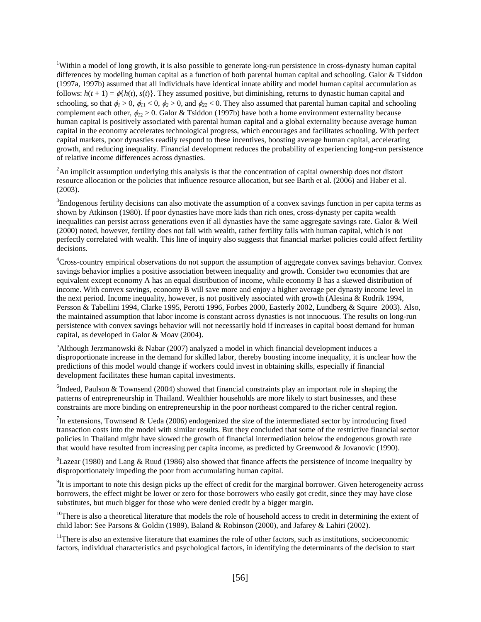<sup>1</sup>Within a model of long growth, it is also possible to generate long-run persistence in cross-dynasty human capital differences by modeling human capital as a function of both parental human capital and schooling. Galor & Tsiddon (1997a, 1997b) assumed that all individuals have identical innate ability and model human capital accumulation as follows:  $h(t + 1) = \phi\{h(t), s(t)\}\$ . They assumed positive, but diminishing, returns to dynastic human capital and schooling, so that  $\phi_1 > 0$ ,  $\phi_1 < 0$ ,  $\phi_2 > 0$ , and  $\phi_2 < 0$ . They also assumed that parental human capital and schooling complement each other,  $\phi_{12} > 0$ . Galor & Tsiddon (1997b) have both a home environment externality because human capital is positively associated with parental human capital and a global externality because average human capital in the economy accelerates technological progress, which encourages and facilitates schooling. With perfect capital markets, poor dynasties readily respond to these incentives, boosting average human capital, accelerating growth, and reducing inequality. Financial development reduces the probability of experiencing long-run persistence of relative income differences across dynasties.

 $2$ An implicit assumption underlying this analysis is that the concentration of capital ownership does not distort resource allocation or the policies that influence resource allocation, but see Barth et al. (2006) and Haber et al. (2003).

 $3$ Endogenous fertility decisions can also motivate the assumption of a convex savings function in per capita terms as shown by Atkinson (1980). If poor dynasties have more kids than rich ones, cross-dynasty per capita wealth inequalities can persist across generations even if all dynasties have the same aggregate savings rate. Galor & Weil (2000) noted, however, fertility does not fall with wealth, rather fertility falls with human capital, which is not perfectly correlated with wealth. This line of inquiry also suggests that financial market policies could affect fertility decisions.

<sup>4</sup>Cross-country empirical observations do not support the assumption of aggregate convex savings behavior. Convex savings behavior implies a positive association between inequality and growth. Consider two economies that are equivalent except economy A has an equal distribution of income, while economy B has a skewed distribution of income. With convex savings, economy B will save more and enjoy a higher average per dynasty income level in the next period. Income inequality, however, is not positively associated with growth (Alesina & Rodrik 1994, Persson & Tabellini 1994, Clarke 1995, Perotti 1996, Forbes 2000, Easterly 2002, Lundberg & Squire 2003). Also, the maintained assumption that labor income is constant across dynasties is not innocuous. The results on long-run persistence with convex savings behavior will not necessarily hold if increases in capital boost demand for human capital, as developed in Galor & Moav (2004).

<sup>5</sup>Although Jerzmanowski & Nabar (2007) analyzed a model in which financial development induces a disproportionate increase in the demand for skilled labor, thereby boosting income inequality, it is unclear how the predictions of this model would change if workers could invest in obtaining skills, especially if financial development facilitates these human capital investments.

<sup>6</sup>Indeed, Paulson & Townsend (2004) showed that financial constraints play an important role in shaping the patterns of entrepreneurship in Thailand. Wealthier households are more likely to start businesses, and these constraints are more binding on entrepreneurship in the poor northeast compared to the richer central region.

 $7$ In extensions, Townsend & Ueda (2006) endogenized the size of the intermediated sector by introducing fixed transaction costs into the model with similar results. But they concluded that some of the restrictive financial sector policies in Thailand might have slowed the growth of financial intermediation below the endogenous growth rate that would have resulted from increasing per capita income, as predicted by Greenwood & Jovanovic (1990).

<sup>8</sup>Lazear (1980) and Lang & Ruud (1986) also showed that finance affects the persistence of income inequality by disproportionately impeding the poor from accumulating human capital.

 $9$ It is important to note this design picks up the effect of credit for the marginal borrower. Given heterogeneity across borrowers, the effect might be lower or zero for those borrowers who easily got credit, since they may have close substitutes, but much bigger for those who were denied credit by a bigger margin.

 $10$ There is also a theoretical literature that models the role of household access to credit in determining the extent of child labor: See Parsons & Goldin (1989), Baland & Robinson (2000), and Jafarey & Lahiri (2002).

<sup>11</sup>There is also an extensive literature that examines the role of other factors, such as institutions, socioeconomic factors, individual characteristics and psychological factors, in identifying the determinants of the decision to start